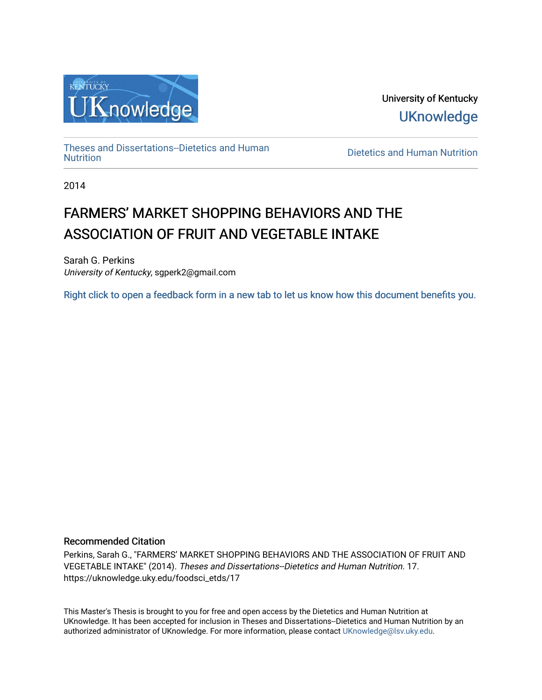

University of Kentucky **UKnowledge** 

[Theses and Dissertations--Dietetics and Human](https://uknowledge.uky.edu/foodsci_etds)

**Dietetics and Human [Nutrition](https://uknowledge.uky.edu/foodsci_etds)** 

2014

# FARMERS' MARKET SHOPPING BEHAVIORS AND THE ASSOCIATION OF FRUIT AND VEGETABLE INTAKE

Sarah G. Perkins University of Kentucky, sgperk2@gmail.com

[Right click to open a feedback form in a new tab to let us know how this document benefits you.](https://uky.az1.qualtrics.com/jfe/form/SV_9mq8fx2GnONRfz7)

## Recommended Citation

Perkins, Sarah G., "FARMERS' MARKET SHOPPING BEHAVIORS AND THE ASSOCIATION OF FRUIT AND VEGETABLE INTAKE" (2014). Theses and Dissertations--Dietetics and Human Nutrition. 17. https://uknowledge.uky.edu/foodsci\_etds/17

This Master's Thesis is brought to you for free and open access by the Dietetics and Human Nutrition at UKnowledge. It has been accepted for inclusion in Theses and Dissertations--Dietetics and Human Nutrition by an authorized administrator of UKnowledge. For more information, please contact [UKnowledge@lsv.uky.edu](mailto:UKnowledge@lsv.uky.edu).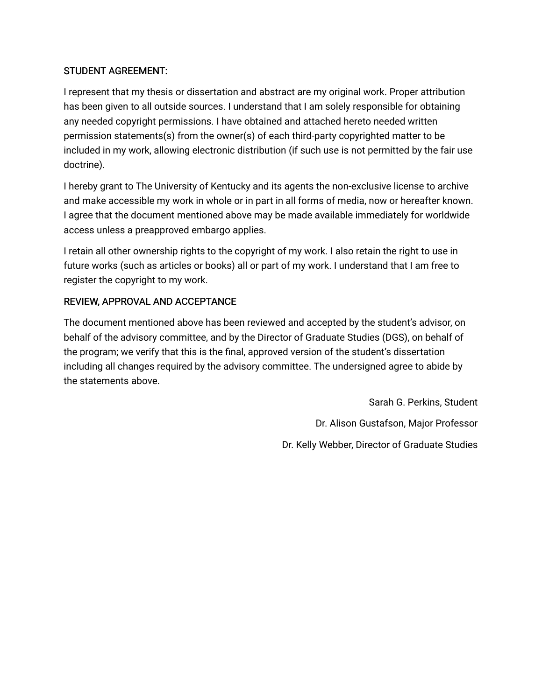# STUDENT AGREEMENT:

I represent that my thesis or dissertation and abstract are my original work. Proper attribution has been given to all outside sources. I understand that I am solely responsible for obtaining any needed copyright permissions. I have obtained and attached hereto needed written permission statements(s) from the owner(s) of each third-party copyrighted matter to be included in my work, allowing electronic distribution (if such use is not permitted by the fair use doctrine).

I hereby grant to The University of Kentucky and its agents the non-exclusive license to archive and make accessible my work in whole or in part in all forms of media, now or hereafter known. I agree that the document mentioned above may be made available immediately for worldwide access unless a preapproved embargo applies.

I retain all other ownership rights to the copyright of my work. I also retain the right to use in future works (such as articles or books) all or part of my work. I understand that I am free to register the copyright to my work.

# REVIEW, APPROVAL AND ACCEPTANCE

The document mentioned above has been reviewed and accepted by the student's advisor, on behalf of the advisory committee, and by the Director of Graduate Studies (DGS), on behalf of the program; we verify that this is the final, approved version of the student's dissertation including all changes required by the advisory committee. The undersigned agree to abide by the statements above.

> Sarah G. Perkins, Student Dr. Alison Gustafson, Major Professor Dr. Kelly Webber, Director of Graduate Studies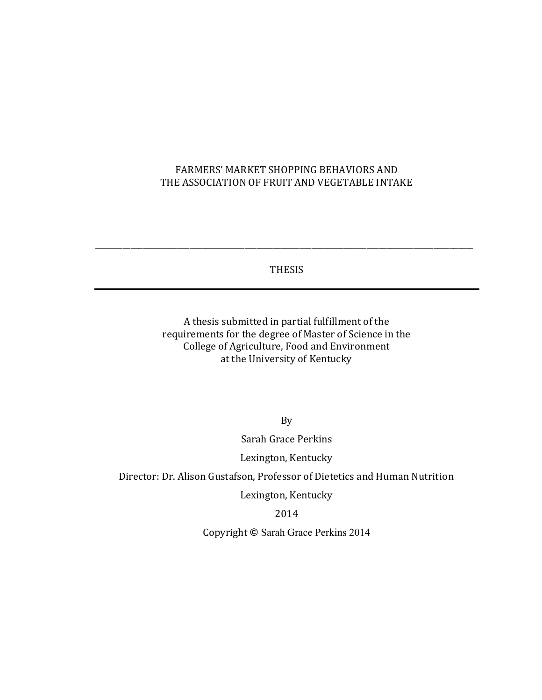# FARMERS' MARKET SHOPPING BEHAVIORS AND THE ASSOCIATION OF FRUIT AND VEGETABLE INTAKE

THESIS

\_\_\_\_\_\_\_\_\_\_\_\_\_\_\_\_\_\_\_\_\_\_\_\_\_\_\_\_\_\_\_\_\_\_\_\_\_\_\_\_\_\_\_\_\_\_\_\_\_\_\_\_\_\_\_\_\_\_\_\_\_\_\_\_\_\_\_\_\_\_\_\_\_\_\_\_\_\_\_\_\_\_\_\_\_\_\_\_\_\_\_\_\_\_\_\_

A thesis submitted in partial fulfillment of the requirements for the degree of Master of Science in the College of Agriculture, Food and Environment at the University of Kentucky

By

Sarah Grace Perkins

Lexington, Kentucky

Director: Dr. Alison Gustafson, Professor of Dietetics and Human Nutrition

Lexington, Kentucky

2014

Copyright **©** Sarah Grace Perkins 2014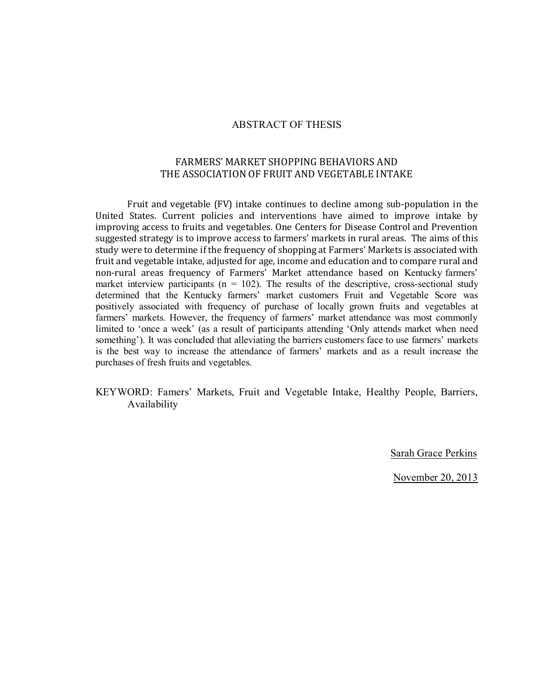### ABSTRACT OF THESIS

# FARMERS' MARKET SHOPPING BEHAVIORS AND THE ASSOCIATION OF FRUIT AND VEGETABLE INTAKE

Fruit and vegetable (FV) intake continues to decline among sub-population in the United States. Current policies and interventions have aimed to improve intake by improving access to fruits and vegetables. One Centers for Disease Control and Prevention suggested strategy is to improve access to farmers' markets in rural areas. The aims of this study were to determine if the frequency of shopping at Farmers' Markets is associated with fruit and vegetable intake, adjusted for age, income and education and to compare rural and non-rural areas frequency of Farmers' Market attendance based on Kentucky farmers' market interview participants ( $n = 102$ ). The results of the descriptive, cross-sectional study determined that the Kentucky farmers' market customers Fruit and Vegetable Score was positively associated with frequency of purchase of locally grown fruits and vegetables at farmers' markets. However, the frequency of farmers' market attendance was most commonly limited to 'once a week' (as a result of participants attending 'Only attends market when need something'). It was concluded that alleviating the barriers customers face to use farmers' markets is the best way to increase the attendance of farmers' markets and as a result increase the purchases of fresh fruits and vegetables.

## KEYWORD: Famers' Markets, Fruit and Vegetable Intake, Healthy People, Barriers, Availability

Sarah Grace Perkins

November 20, 2013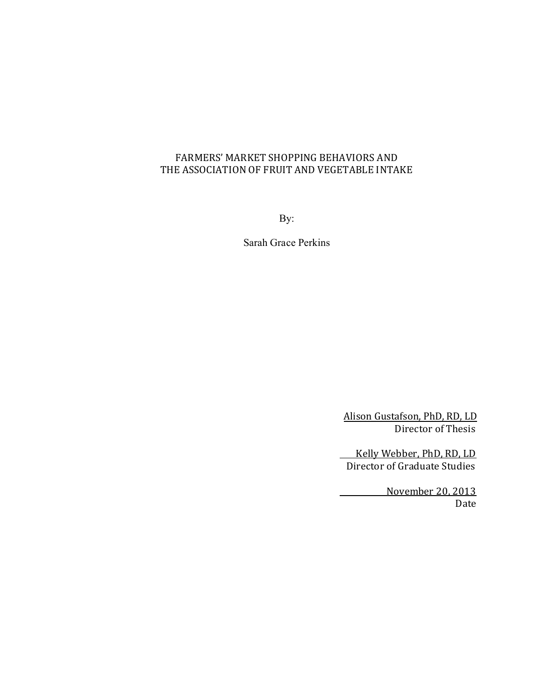# FARMERS' MARKET SHOPPING BEHAVIORS AND THE ASSOCIATION OF FRUIT AND VEGETABLE INTAKE

By:

Sarah Grace Perkins

Alison Gustafson, PhD, RD, LD Director of Thesis

 Kelly Webber, PhD, RD, LD Director of Graduate Studies

> November 20, 2013 Date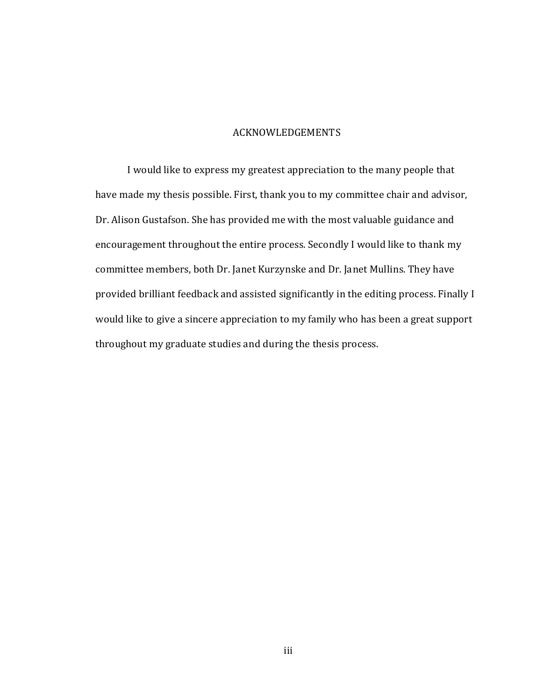# ACKNOWLEDGEMENTS

I would like to express my greatest appreciation to the many people that have made my thesis possible. First, thank you to my committee chair and advisor, Dr. Alison Gustafson. She has provided me with the most valuable guidance and encouragement throughout the entire process. Secondly I would like to thank my committee members, both Dr. Janet Kurzynske and Dr. Janet Mullins. They have provided brilliant feedback and assisted significantly in the editing process. Finally I would like to give a sincere appreciation to my family who has been a great support throughout my graduate studies and during the thesis process.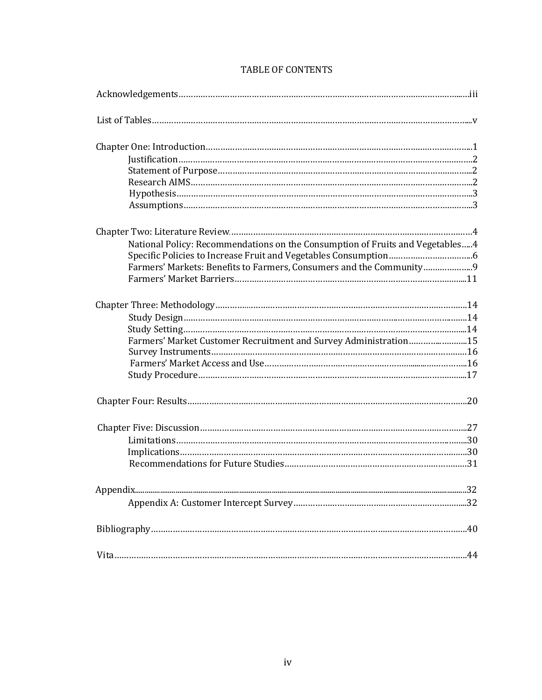| National Policy: Recommendations on the Consumption of Fruits and Vegetables4 |
|-------------------------------------------------------------------------------|
|                                                                               |
| Farmers' Markets: Benefits to Farmers, Consumers and the Community            |
|                                                                               |
|                                                                               |
|                                                                               |
|                                                                               |
| Farmers' Market Customer Recruitment and Survey Administration15              |
|                                                                               |
|                                                                               |
|                                                                               |
|                                                                               |
|                                                                               |
|                                                                               |
|                                                                               |
|                                                                               |
|                                                                               |
|                                                                               |
|                                                                               |
|                                                                               |

## TABLE OF CONTENTS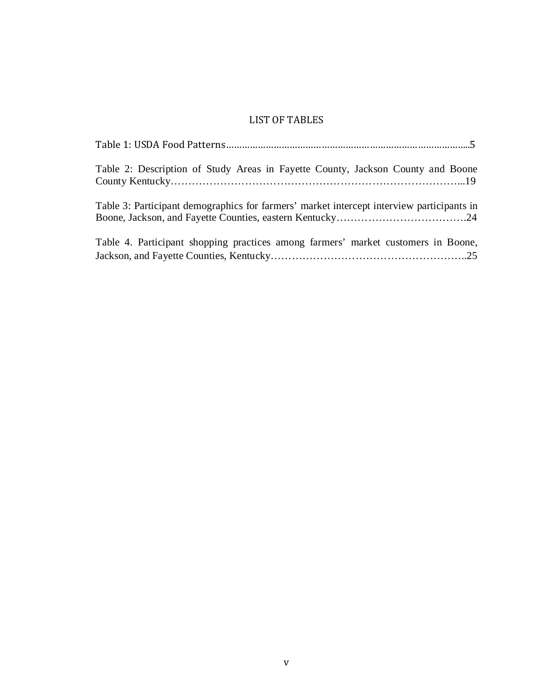# LIST OF TABLES

| Table 2: Description of Study Areas in Fayette County, Jackson County and Boone           |
|-------------------------------------------------------------------------------------------|
| Table 3: Participant demographics for farmers' market intercept interview participants in |
| Table 4. Participant shopping practices among farmers' market customers in Boone,         |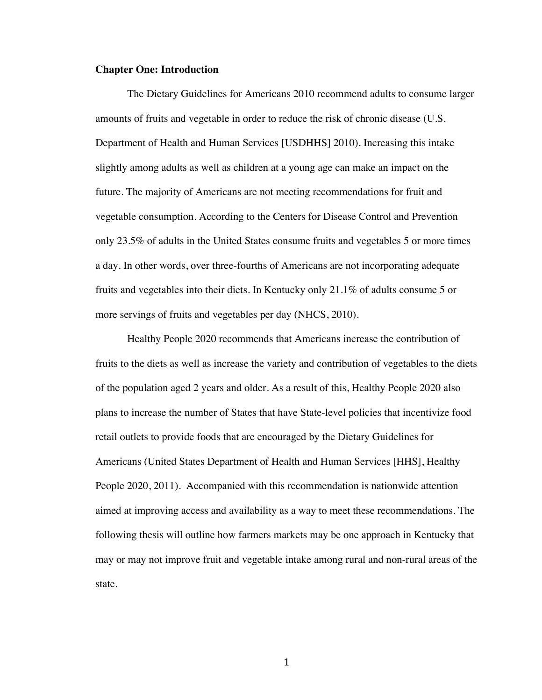#### **Chapter One: Introduction**

The Dietary Guidelines for Americans 2010 recommend adults to consume larger amounts of fruits and vegetable in order to reduce the risk of chronic disease (U.S. Department of Health and Human Services [USDHHS] 2010). Increasing this intake slightly among adults as well as children at a young age can make an impact on the future. The majority of Americans are not meeting recommendations for fruit and vegetable consumption. According to the Centers for Disease Control and Prevention only 23.5% of adults in the United States consume fruits and vegetables 5 or more times a day. In other words, over three-fourths of Americans are not incorporating adequate fruits and vegetables into their diets. In Kentucky only 21.1% of adults consume 5 or more servings of fruits and vegetables per day (NHCS, 2010).

Healthy People 2020 recommends that Americans increase the contribution of fruits to the diets as well as increase the variety and contribution of vegetables to the diets of the population aged 2 years and older. As a result of this, Healthy People 2020 also plans to increase the number of States that have State-level policies that incentivize food retail outlets to provide foods that are encouraged by the Dietary Guidelines for Americans (United States Department of Health and Human Services [HHS], Healthy People 2020, 2011). Accompanied with this recommendation is nationwide attention aimed at improving access and availability as a way to meet these recommendations. The following thesis will outline how farmers markets may be one approach in Kentucky that may or may not improve fruit and vegetable intake among rural and non-rural areas of the state.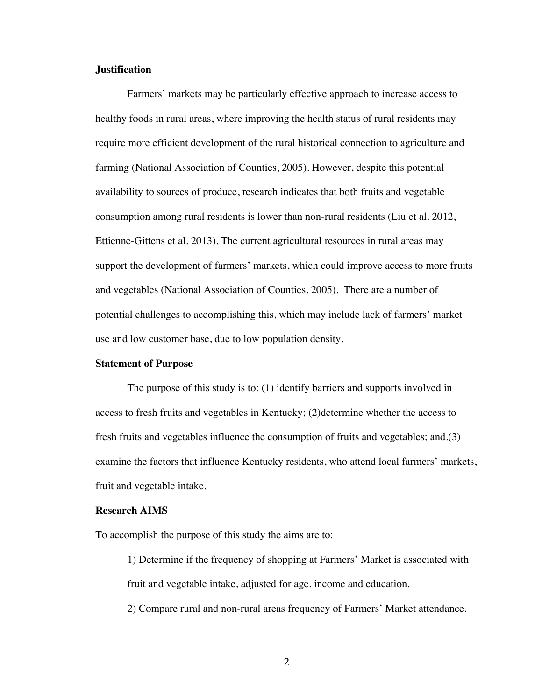## **Justification**

Farmers' markets may be particularly effective approach to increase access to healthy foods in rural areas, where improving the health status of rural residents may require more efficient development of the rural historical connection to agriculture and farming (National Association of Counties, 2005). However, despite this potential availability to sources of produce, research indicates that both fruits and vegetable consumption among rural residents is lower than non-rural residents (Liu et al. 2012, Ettienne-Gittens et al. 2013). The current agricultural resources in rural areas may support the development of farmers' markets, which could improve access to more fruits and vegetables (National Association of Counties, 2005). There are a number of potential challenges to accomplishing this, which may include lack of farmers' market use and low customer base, due to low population density.

#### **Statement of Purpose**

The purpose of this study is to: (1) identify barriers and supports involved in access to fresh fruits and vegetables in Kentucky; (2)determine whether the access to fresh fruits and vegetables influence the consumption of fruits and vegetables; and,(3) examine the factors that influence Kentucky residents, who attend local farmers' markets, fruit and vegetable intake.

## **Research AIMS**

To accomplish the purpose of this study the aims are to:

1) Determine if the frequency of shopping at Farmers' Market is associated with fruit and vegetable intake, adjusted for age, income and education.

2) Compare rural and non-rural areas frequency of Farmers' Market attendance.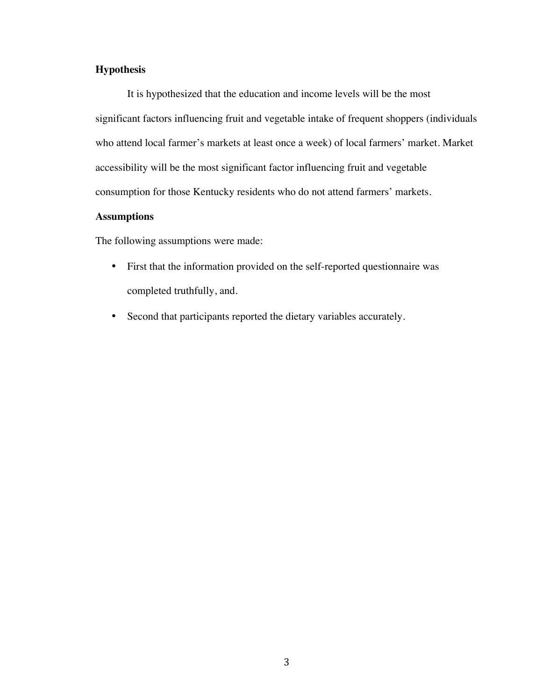# **Hypothesis**

It is hypothesized that the education and income levels will be the most significant factors influencing fruit and vegetable intake of frequent shoppers (individuals who attend local farmer's markets at least once a week) of local farmers' market. Market accessibility will be the most significant factor influencing fruit and vegetable consumption for those Kentucky residents who do not attend farmers' markets.

## **Assumptions**

The following assumptions were made:

- First that the information provided on the self-reported questionnaire was completed truthfully, and.
- Second that participants reported the dietary variables accurately.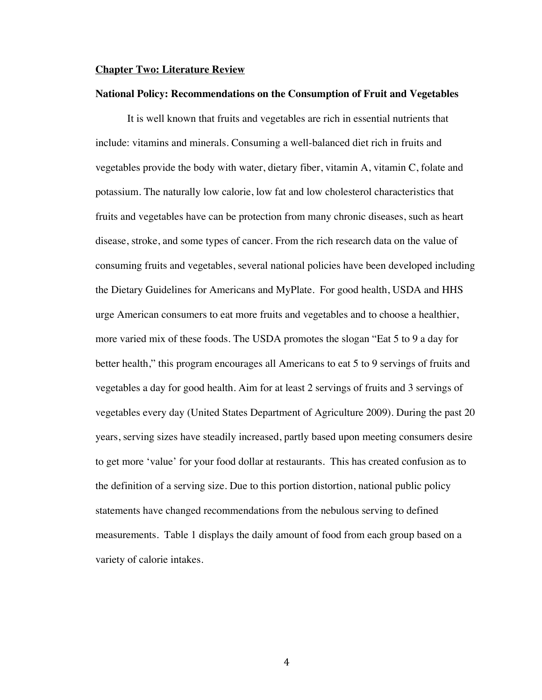#### **Chapter Two: Literature Review**

#### **National Policy: Recommendations on the Consumption of Fruit and Vegetables**

It is well known that fruits and vegetables are rich in essential nutrients that include: vitamins and minerals. Consuming a well-balanced diet rich in fruits and vegetables provide the body with water, dietary fiber, vitamin A, vitamin C, folate and potassium. The naturally low calorie, low fat and low cholesterol characteristics that fruits and vegetables have can be protection from many chronic diseases, such as heart disease, stroke, and some types of cancer. From the rich research data on the value of consuming fruits and vegetables, several national policies have been developed including the Dietary Guidelines for Americans and MyPlate. For good health, USDA and HHS urge American consumers to eat more fruits and vegetables and to choose a healthier, more varied mix of these foods. The USDA promotes the slogan "Eat 5 to 9 a day for better health," this program encourages all Americans to eat 5 to 9 servings of fruits and vegetables a day for good health. Aim for at least 2 servings of fruits and 3 servings of vegetables every day (United States Department of Agriculture 2009). During the past 20 years, serving sizes have steadily increased, partly based upon meeting consumers desire to get more 'value' for your food dollar at restaurants. This has created confusion as to the definition of a serving size. Due to this portion distortion, national public policy statements have changed recommendations from the nebulous serving to defined measurements. Table 1 displays the daily amount of food from each group based on a variety of calorie intakes.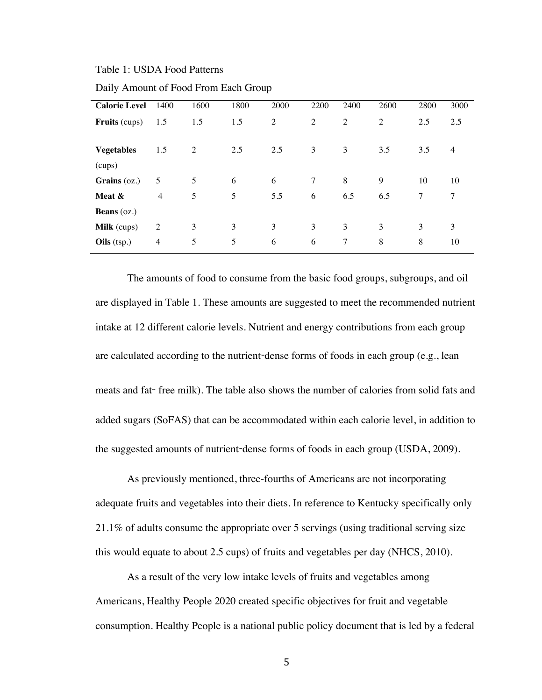Table 1: USDA Food Patterns

| <b>Calorie Level</b>        | 1400           | 1600 | 1800 | 2000 | 2200           | 2400           | 2600           | 2800 | 3000           |
|-----------------------------|----------------|------|------|------|----------------|----------------|----------------|------|----------------|
| <b>Fruits</b> (cups)        | 1.5            | 1.5  | 1.5  | 2    | $\overline{2}$ | $\overline{2}$ | $\overline{2}$ | 2.5  | 2.5            |
| <b>Vegetables</b><br>(cups) | 1.5            | 2    | 2.5  | 2.5  | 3              | 3              | 3.5            | 3.5  | $\overline{4}$ |
| Grains $(oz.)$              | 5              | 5    | 6    | 6    | 7              | 8              | 9              | 10   | 10             |
| Meat &                      | $\overline{4}$ | 5    | 5    | 5.5  | 6              | 6.5            | 6.5            | 7    | 7              |
| <b>Beans</b> $(oz.)$        |                |      |      |      |                |                |                |      |                |
| <b>Milk</b> (cups)          | 2              | 3    | 3    | 3    | 3              | 3              | 3              | 3    | 3              |
| Oils (tsp.)                 | $\overline{4}$ | 5    | 5    | 6    | 6              | 7              | 8              | 8    | 10             |

Daily Amount of Food From Each Group

The amounts of food to consume from the basic food groups, subgroups, and oil are displayed in Table 1. These amounts are suggested to meet the recommended nutrient intake at 12 different calorie levels. Nutrient and energy contributions from each group are calculated according to the nutrient-dense forms of foods in each group (e.g., lean meats and fat- free milk). The table also shows the number of calories from solid fats and added sugars (SoFAS) that can be accommodated within each calorie level, in addition to the suggested amounts of nutrient-dense forms of foods in each group (USDA, 2009).

As previously mentioned, three-fourths of Americans are not incorporating adequate fruits and vegetables into their diets. In reference to Kentucky specifically only 21.1% of adults consume the appropriate over 5 servings (using traditional serving size this would equate to about 2.5 cups) of fruits and vegetables per day (NHCS, 2010).

As a result of the very low intake levels of fruits and vegetables among Americans, Healthy People 2020 created specific objectives for fruit and vegetable consumption. Healthy People is a national public policy document that is led by a federal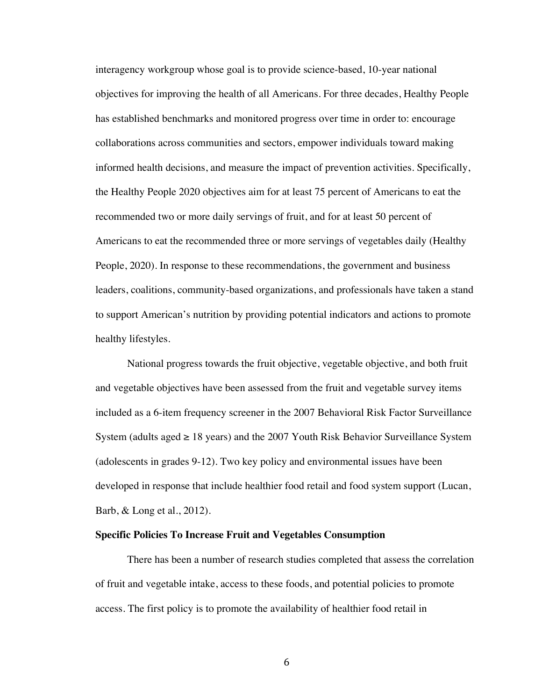interagency workgroup whose goal is to provide science-based, 10-year national objectives for improving the health of all Americans. For three decades, Healthy People has established benchmarks and monitored progress over time in order to: encourage collaborations across communities and sectors, empower individuals toward making informed health decisions, and measure the impact of prevention activities. Specifically, the Healthy People 2020 objectives aim for at least 75 percent of Americans to eat the recommended two or more daily servings of fruit, and for at least 50 percent of Americans to eat the recommended three or more servings of vegetables daily (Healthy People, 2020). In response to these recommendations, the government and business leaders, coalitions, community-based organizations, and professionals have taken a stand to support American's nutrition by providing potential indicators and actions to promote healthy lifestyles.

National progress towards the fruit objective, vegetable objective, and both fruit and vegetable objectives have been assessed from the fruit and vegetable survey items included as a 6-item frequency screener in the 2007 Behavioral Risk Factor Surveillance System (adults aged  $\geq 18$  years) and the 2007 Youth Risk Behavior Surveillance System (adolescents in grades 9-12). Two key policy and environmental issues have been developed in response that include healthier food retail and food system support (Lucan, Barb, & Long et al., 2012).

## **Specific Policies To Increase Fruit and Vegetables Consumption**

There has been a number of research studies completed that assess the correlation of fruit and vegetable intake, access to these foods, and potential policies to promote access. The first policy is to promote the availability of healthier food retail in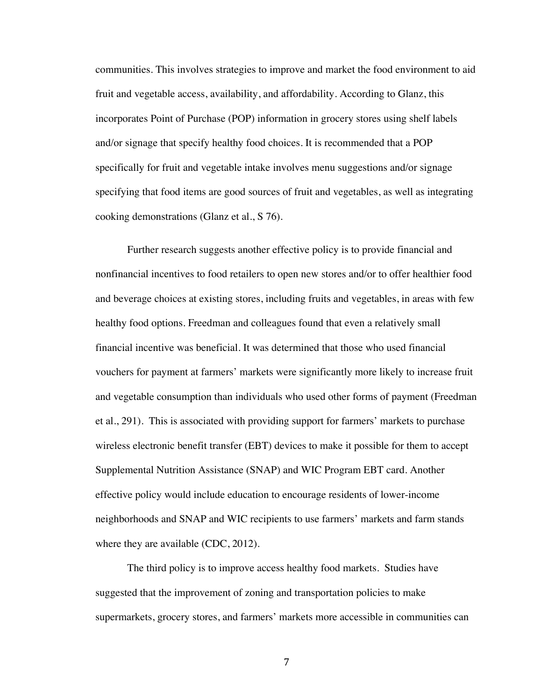communities. This involves strategies to improve and market the food environment to aid fruit and vegetable access, availability, and affordability. According to Glanz, this incorporates Point of Purchase (POP) information in grocery stores using shelf labels and/or signage that specify healthy food choices. It is recommended that a POP specifically for fruit and vegetable intake involves menu suggestions and/or signage specifying that food items are good sources of fruit and vegetables, as well as integrating cooking demonstrations (Glanz et al., S 76).

Further research suggests another effective policy is to provide financial and nonfinancial incentives to food retailers to open new stores and/or to offer healthier food and beverage choices at existing stores, including fruits and vegetables, in areas with few healthy food options. Freedman and colleagues found that even a relatively small financial incentive was beneficial. It was determined that those who used financial vouchers for payment at farmers' markets were significantly more likely to increase fruit and vegetable consumption than individuals who used other forms of payment (Freedman et al., 291). This is associated with providing support for farmers' markets to purchase wireless electronic benefit transfer (EBT) devices to make it possible for them to accept Supplemental Nutrition Assistance (SNAP) and WIC Program EBT card. Another effective policy would include education to encourage residents of lower-income neighborhoods and SNAP and WIC recipients to use farmers' markets and farm stands where they are available (CDC, 2012).

The third policy is to improve access healthy food markets. Studies have suggested that the improvement of zoning and transportation policies to make supermarkets, grocery stores, and farmers' markets more accessible in communities can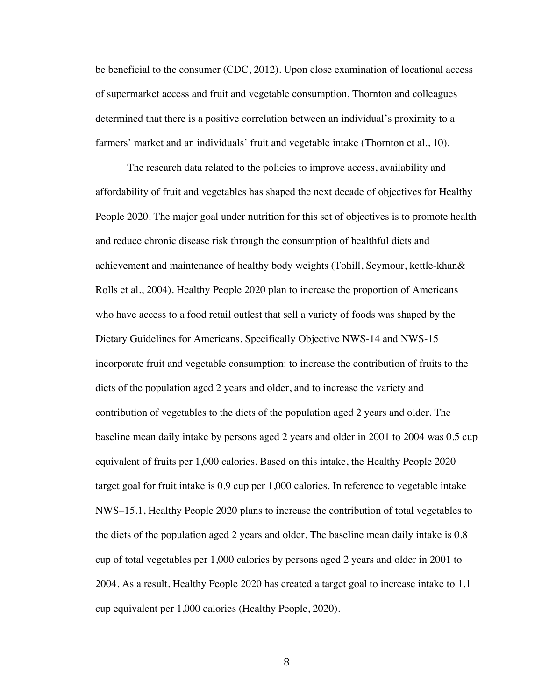be beneficial to the consumer (CDC, 2012). Upon close examination of locational access of supermarket access and fruit and vegetable consumption, Thornton and colleagues determined that there is a positive correlation between an individual's proximity to a farmers' market and an individuals' fruit and vegetable intake (Thornton et al., 10).

The research data related to the policies to improve access, availability and affordability of fruit and vegetables has shaped the next decade of objectives for Healthy People 2020. The major goal under nutrition for this set of objectives is to promote health and reduce chronic disease risk through the consumption of healthful diets and achievement and maintenance of healthy body weights (Tohill, Seymour, kettle-khan& Rolls et al., 2004). Healthy People 2020 plan to increase the proportion of Americans who have access to a food retail outlest that sell a variety of foods was shaped by the Dietary Guidelines for Americans. Specifically Objective NWS-14 and NWS-15 incorporate fruit and vegetable consumption: to increase the contribution of fruits to the diets of the population aged 2 years and older, and to increase the variety and contribution of vegetables to the diets of the population aged 2 years and older. The baseline mean daily intake by persons aged 2 years and older in 2001 to 2004 was 0.5 cup equivalent of fruits per 1,000 calories. Based on this intake, the Healthy People 2020 target goal for fruit intake is 0.9 cup per 1,000 calories. In reference to vegetable intake NWS–15.1, Healthy People 2020 plans to increase the contribution of total vegetables to the diets of the population aged 2 years and older. The baseline mean daily intake is 0.8 cup of total vegetables per 1,000 calories by persons aged 2 years and older in 2001 to 2004. As a result, Healthy People 2020 has created a target goal to increase intake to 1.1 cup equivalent per 1,000 calories (Healthy People, 2020).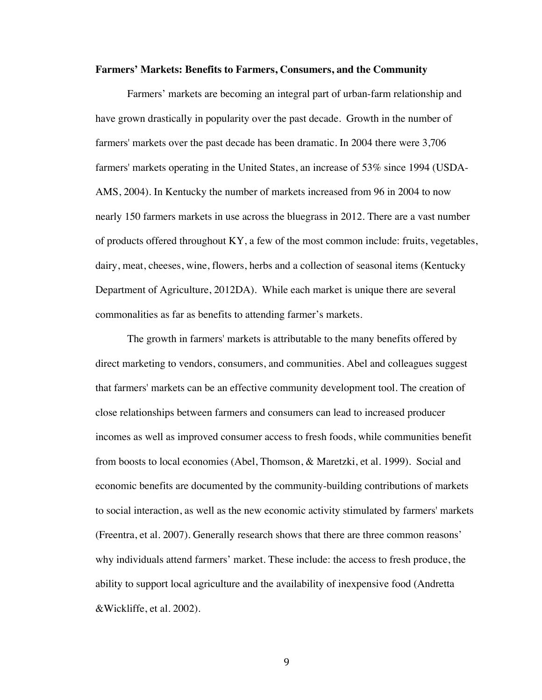#### **Farmers' Markets: Benefits to Farmers, Consumers, and the Community**

Farmers' markets are becoming an integral part of urban-farm relationship and have grown drastically in popularity over the past decade. Growth in the number of farmers' markets over the past decade has been dramatic. In 2004 there were 3,706 farmers' markets operating in the United States, an increase of 53% since 1994 (USDA-AMS, 2004). In Kentucky the number of markets increased from 96 in 2004 to now nearly 150 farmers markets in use across the bluegrass in 2012. There are a vast number of products offered throughout KY, a few of the most common include: fruits, vegetables, dairy, meat, cheeses, wine, flowers, herbs and a collection of seasonal items (Kentucky Department of Agriculture, 2012DA). While each market is unique there are several commonalities as far as benefits to attending farmer's markets.

The growth in farmers' markets is attributable to the many benefits offered by direct marketing to vendors, consumers, and communities. Abel and colleagues suggest that farmers' markets can be an effective community development tool. The creation of close relationships between farmers and consumers can lead to increased producer incomes as well as improved consumer access to fresh foods, while communities benefit from boosts to local economies (Abel, Thomson, & Maretzki, et al. 1999). Social and economic benefits are documented by the community-building contributions of markets to social interaction, as well as the new economic activity stimulated by farmers' markets (Freentra, et al. 2007). Generally research shows that there are three common reasons' why individuals attend farmers' market. These include: the access to fresh produce, the ability to support local agriculture and the availability of inexpensive food (Andretta &Wickliffe, et al. 2002).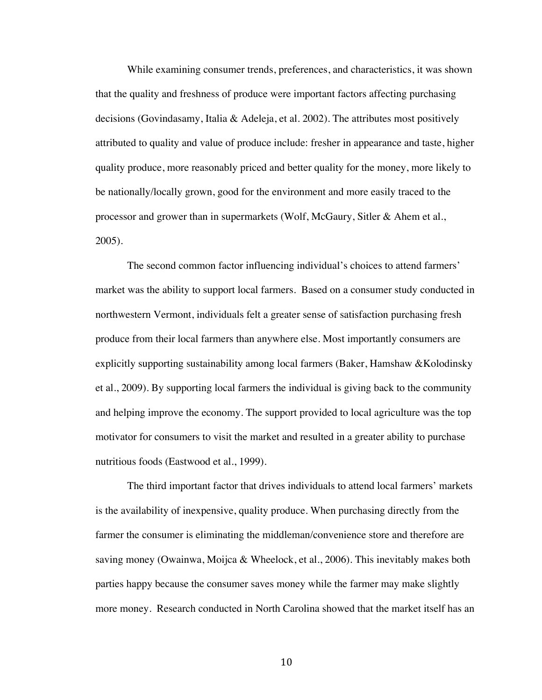While examining consumer trends, preferences, and characteristics, it was shown that the quality and freshness of produce were important factors affecting purchasing decisions (Govindasamy, Italia & Adeleja, et al. 2002). The attributes most positively attributed to quality and value of produce include: fresher in appearance and taste, higher quality produce, more reasonably priced and better quality for the money, more likely to be nationally/locally grown, good for the environment and more easily traced to the processor and grower than in supermarkets (Wolf, McGaury, Sitler & Ahem et al., 2005).

The second common factor influencing individual's choices to attend farmers' market was the ability to support local farmers. Based on a consumer study conducted in northwestern Vermont, individuals felt a greater sense of satisfaction purchasing fresh produce from their local farmers than anywhere else. Most importantly consumers are explicitly supporting sustainability among local farmers (Baker, Hamshaw &Kolodinsky et al., 2009). By supporting local farmers the individual is giving back to the community and helping improve the economy. The support provided to local agriculture was the top motivator for consumers to visit the market and resulted in a greater ability to purchase nutritious foods (Eastwood et al., 1999).

The third important factor that drives individuals to attend local farmers' markets is the availability of inexpensive, quality produce. When purchasing directly from the farmer the consumer is eliminating the middleman/convenience store and therefore are saving money (Owainwa, Moijca & Wheelock, et al., 2006). This inevitably makes both parties happy because the consumer saves money while the farmer may make slightly more money. Research conducted in North Carolina showed that the market itself has an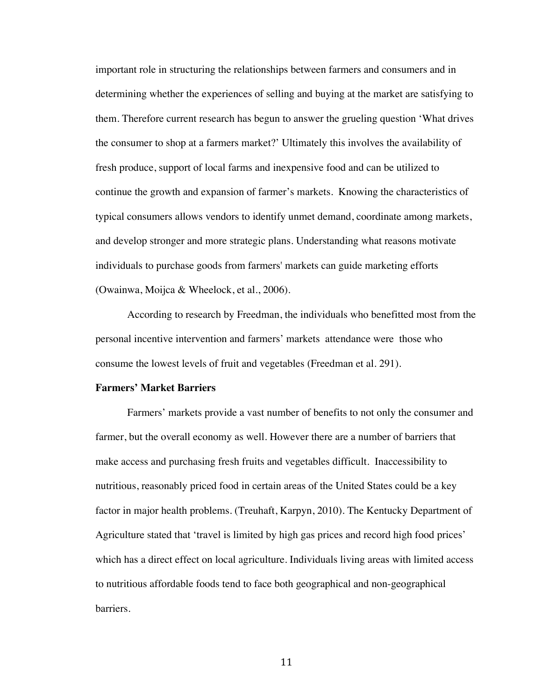important role in structuring the relationships between farmers and consumers and in determining whether the experiences of selling and buying at the market are satisfying to them. Therefore current research has begun to answer the grueling question 'What drives the consumer to shop at a farmers market?' Ultimately this involves the availability of fresh produce, support of local farms and inexpensive food and can be utilized to continue the growth and expansion of farmer's markets. Knowing the characteristics of typical consumers allows vendors to identify unmet demand, coordinate among markets, and develop stronger and more strategic plans. Understanding what reasons motivate individuals to purchase goods from farmers' markets can guide marketing efforts (Owainwa, Moijca & Wheelock, et al., 2006).

According to research by Freedman, the individuals who benefitted most from the personal incentive intervention and farmers' markets attendance were those who consume the lowest levels of fruit and vegetables (Freedman et al. 291).

#### **Farmers' Market Barriers**

Farmers' markets provide a vast number of benefits to not only the consumer and farmer, but the overall economy as well. However there are a number of barriers that make access and purchasing fresh fruits and vegetables difficult. Inaccessibility to nutritious, reasonably priced food in certain areas of the United States could be a key factor in major health problems. (Treuhaft, Karpyn, 2010). The Kentucky Department of Agriculture stated that 'travel is limited by high gas prices and record high food prices' which has a direct effect on local agriculture. Individuals living areas with limited access to nutritious affordable foods tend to face both geographical and non-geographical barriers.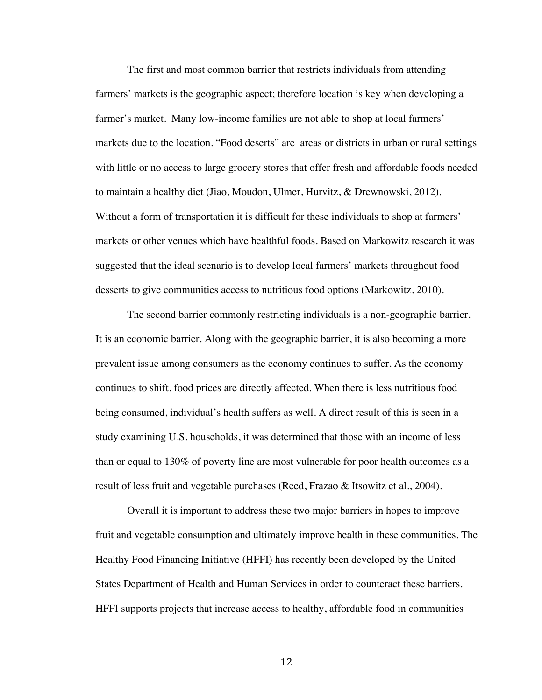The first and most common barrier that restricts individuals from attending farmers' markets is the geographic aspect; therefore location is key when developing a farmer's market. Many low-income families are not able to shop at local farmers' markets due to the location. "Food deserts" are areas or districts in urban or rural settings with little or no access to large grocery stores that offer fresh and affordable foods needed to maintain a healthy diet (Jiao, Moudon, Ulmer, Hurvitz, & Drewnowski, 2012). Without a form of transportation it is difficult for these individuals to shop at farmers' markets or other venues which have healthful foods. Based on Markowitz research it was suggested that the ideal scenario is to develop local farmers' markets throughout food desserts to give communities access to nutritious food options (Markowitz, 2010).

The second barrier commonly restricting individuals is a non-geographic barrier. It is an economic barrier. Along with the geographic barrier, it is also becoming a more prevalent issue among consumers as the economy continues to suffer. As the economy continues to shift, food prices are directly affected. When there is less nutritious food being consumed, individual's health suffers as well. A direct result of this is seen in a study examining U.S. households, it was determined that those with an income of less than or equal to 130% of poverty line are most vulnerable for poor health outcomes as a result of less fruit and vegetable purchases (Reed, Frazao & Itsowitz et al., 2004).

Overall it is important to address these two major barriers in hopes to improve fruit and vegetable consumption and ultimately improve health in these communities. The Healthy Food Financing Initiative (HFFI) has recently been developed by the United States Department of Health and Human Services in order to counteract these barriers. HFFI supports projects that increase access to healthy, affordable food in communities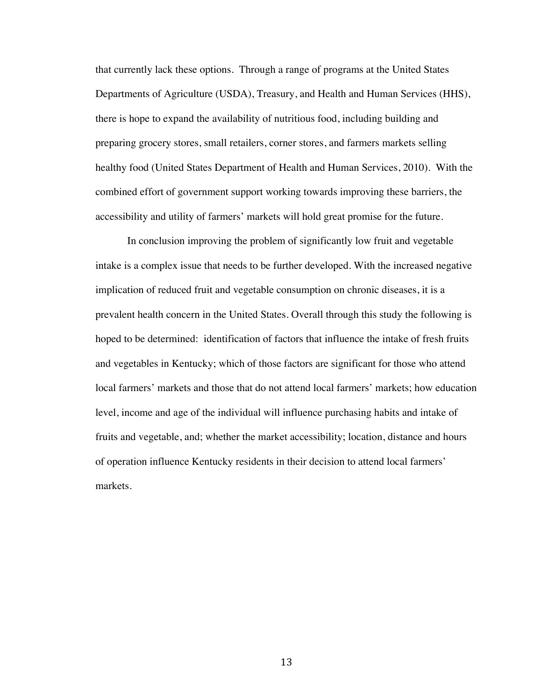that currently lack these options. Through a range of programs at the United States Departments of Agriculture (USDA), Treasury, and Health and Human Services (HHS), there is hope to expand the availability of nutritious food, including building and preparing grocery stores, small retailers, corner stores, and farmers markets selling healthy food (United States Department of Health and Human Services, 2010). With the combined effort of government support working towards improving these barriers, the accessibility and utility of farmers' markets will hold great promise for the future.

In conclusion improving the problem of significantly low fruit and vegetable intake is a complex issue that needs to be further developed. With the increased negative implication of reduced fruit and vegetable consumption on chronic diseases, it is a prevalent health concern in the United States. Overall through this study the following is hoped to be determined: identification of factors that influence the intake of fresh fruits and vegetables in Kentucky; which of those factors are significant for those who attend local farmers' markets and those that do not attend local farmers' markets; how education level, income and age of the individual will influence purchasing habits and intake of fruits and vegetable, and; whether the market accessibility; location, distance and hours of operation influence Kentucky residents in their decision to attend local farmers' markets.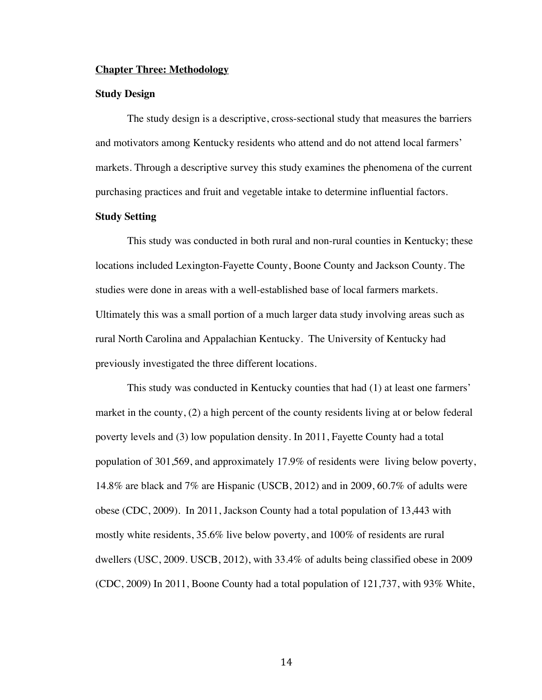#### **Chapter Three: Methodology**

### **Study Design**

The study design is a descriptive, cross-sectional study that measures the barriers and motivators among Kentucky residents who attend and do not attend local farmers' markets. Through a descriptive survey this study examines the phenomena of the current purchasing practices and fruit and vegetable intake to determine influential factors.

## **Study Setting**

This study was conducted in both rural and non-rural counties in Kentucky; these locations included Lexington-Fayette County, Boone County and Jackson County. The studies were done in areas with a well-established base of local farmers markets. Ultimately this was a small portion of a much larger data study involving areas such as rural North Carolina and Appalachian Kentucky. The University of Kentucky had previously investigated the three different locations.

This study was conducted in Kentucky counties that had (1) at least one farmers' market in the county, (2) a high percent of the county residents living at or below federal poverty levels and (3) low population density. In 2011, Fayette County had a total population of 301,569, and approximately 17.9% of residents were living below poverty, 14.8% are black and 7% are Hispanic (USCB, 2012) and in 2009, 60.7% of adults were obese (CDC, 2009). In 2011, Jackson County had a total population of 13,443 with mostly white residents, 35.6% live below poverty, and 100% of residents are rural dwellers (USC, 2009. USCB, 2012), with 33.4% of adults being classified obese in 2009 (CDC, 2009) In 2011, Boone County had a total population of 121,737, with 93% White,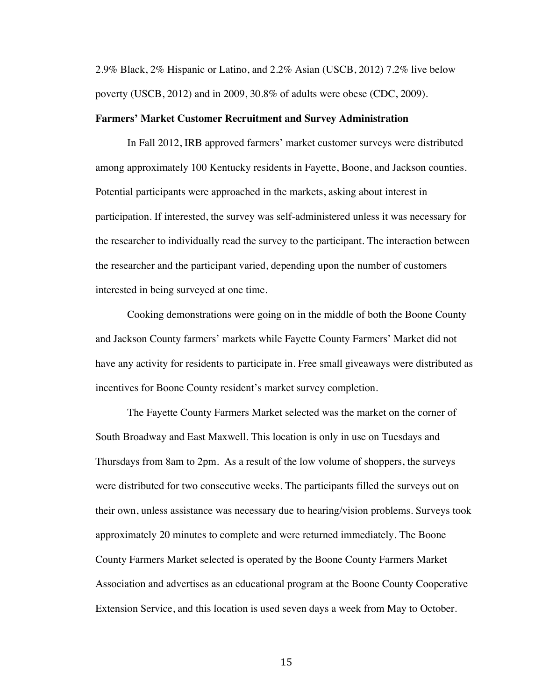2.9% Black, 2% Hispanic or Latino, and 2.2% Asian (USCB, 2012) 7.2% live below poverty (USCB, 2012) and in 2009, 30.8% of adults were obese (CDC, 2009).

#### **Farmers' Market Customer Recruitment and Survey Administration**

In Fall 2012, IRB approved farmers' market customer surveys were distributed among approximately 100 Kentucky residents in Fayette, Boone, and Jackson counties. Potential participants were approached in the markets, asking about interest in participation. If interested, the survey was self-administered unless it was necessary for the researcher to individually read the survey to the participant. The interaction between the researcher and the participant varied, depending upon the number of customers interested in being surveyed at one time.

Cooking demonstrations were going on in the middle of both the Boone County and Jackson County farmers' markets while Fayette County Farmers' Market did not have any activity for residents to participate in. Free small giveaways were distributed as incentives for Boone County resident's market survey completion.

The Fayette County Farmers Market selected was the market on the corner of South Broadway and East Maxwell. This location is only in use on Tuesdays and Thursdays from 8am to 2pm. As a result of the low volume of shoppers, the surveys were distributed for two consecutive weeks. The participants filled the surveys out on their own, unless assistance was necessary due to hearing/vision problems. Surveys took approximately 20 minutes to complete and were returned immediately. The Boone County Farmers Market selected is operated by the Boone County Farmers Market Association and advertises as an educational program at the Boone County Cooperative Extension Service, and this location is used seven days a week from May to October.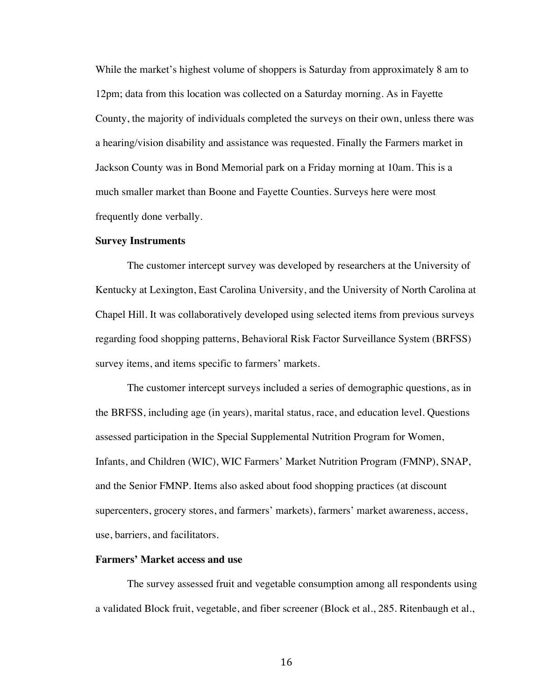While the market's highest volume of shoppers is Saturday from approximately 8 am to 12pm; data from this location was collected on a Saturday morning. As in Fayette County, the majority of individuals completed the surveys on their own, unless there was a hearing/vision disability and assistance was requested. Finally the Farmers market in Jackson County was in Bond Memorial park on a Friday morning at 10am. This is a much smaller market than Boone and Fayette Counties. Surveys here were most frequently done verbally.

#### **Survey Instruments**

The customer intercept survey was developed by researchers at the University of Kentucky at Lexington, East Carolina University, and the University of North Carolina at Chapel Hill. It was collaboratively developed using selected items from previous surveys regarding food shopping patterns, Behavioral Risk Factor Surveillance System (BRFSS) survey items, and items specific to farmers' markets.

The customer intercept surveys included a series of demographic questions, as in the BRFSS, including age (in years), marital status, race, and education level. Questions assessed participation in the Special Supplemental Nutrition Program for Women, Infants, and Children (WIC), WIC Farmers' Market Nutrition Program (FMNP), SNAP, and the Senior FMNP. Items also asked about food shopping practices (at discount supercenters, grocery stores, and farmers' markets), farmers' market awareness, access, use, barriers, and facilitators.

#### **Farmers' Market access and use**

The survey assessed fruit and vegetable consumption among all respondents using a validated Block fruit, vegetable, and fiber screener (Block et al., 285. Ritenbaugh et al.,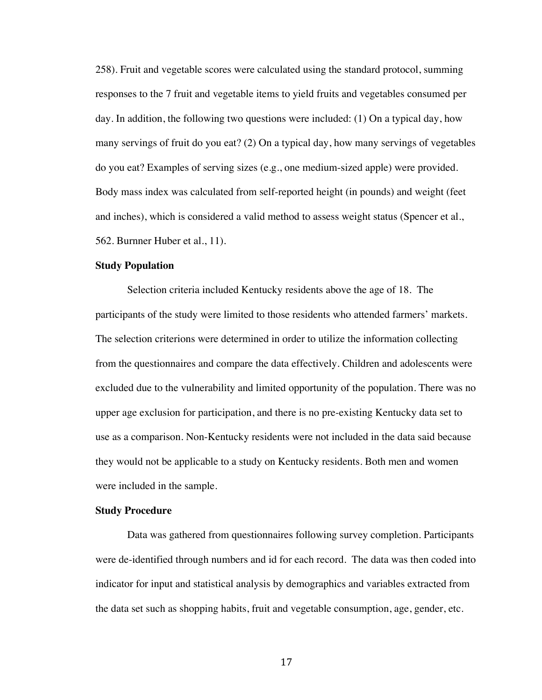258). Fruit and vegetable scores were calculated using the standard protocol, summing responses to the 7 fruit and vegetable items to yield fruits and vegetables consumed per day. In addition, the following two questions were included: (1) On a typical day, how many servings of fruit do you eat? (2) On a typical day, how many servings of vegetables do you eat? Examples of serving sizes (e.g., one medium-sized apple) were provided. Body mass index was calculated from self-reported height (in pounds) and weight (feet and inches), which is considered a valid method to assess weight status (Spencer et al., 562. Burnner Huber et al., 11).

#### **Study Population**

Selection criteria included Kentucky residents above the age of 18. The participants of the study were limited to those residents who attended farmers' markets. The selection criterions were determined in order to utilize the information collecting from the questionnaires and compare the data effectively. Children and adolescents were excluded due to the vulnerability and limited opportunity of the population. There was no upper age exclusion for participation, and there is no pre-existing Kentucky data set to use as a comparison. Non-Kentucky residents were not included in the data said because they would not be applicable to a study on Kentucky residents. Both men and women were included in the sample.

## **Study Procedure**

Data was gathered from questionnaires following survey completion. Participants were de-identified through numbers and id for each record. The data was then coded into indicator for input and statistical analysis by demographics and variables extracted from the data set such as shopping habits, fruit and vegetable consumption, age, gender, etc.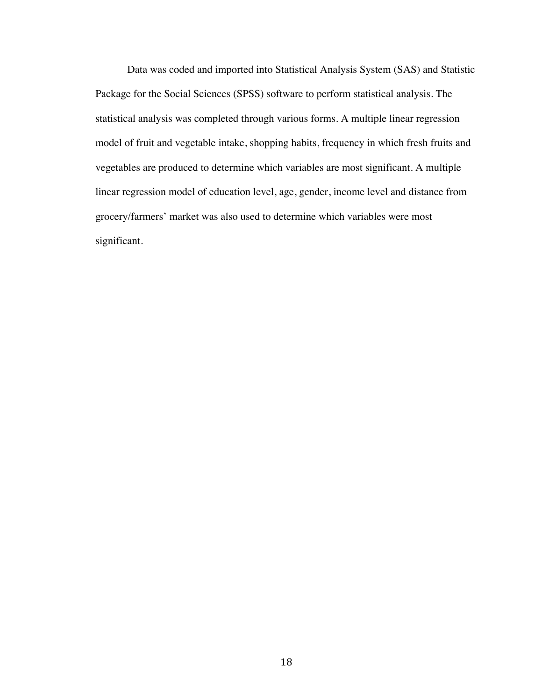Data was coded and imported into Statistical Analysis System (SAS) and Statistic Package for the Social Sciences (SPSS) software to perform statistical analysis. The statistical analysis was completed through various forms. A multiple linear regression model of fruit and vegetable intake, shopping habits, frequency in which fresh fruits and vegetables are produced to determine which variables are most significant. A multiple linear regression model of education level, age, gender, income level and distance from grocery/farmers' market was also used to determine which variables were most significant.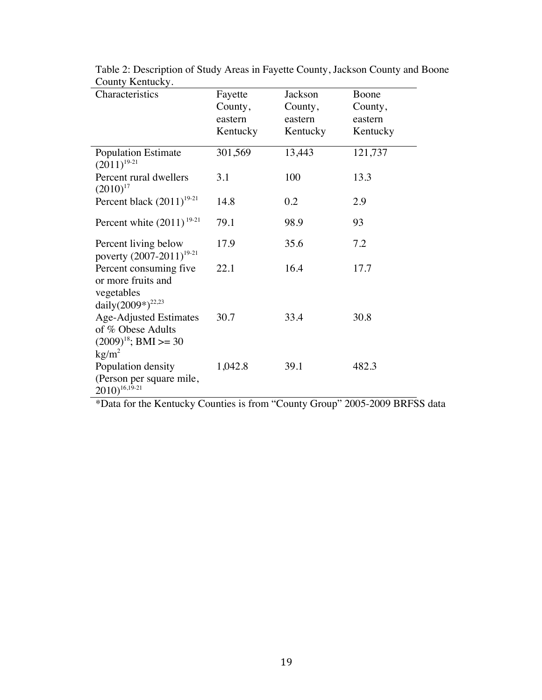| Characteristics                                                                                    | Fayette<br>County,<br>eastern<br>Kentucky | Jackson<br>County,<br>eastern<br>Kentucky | Boone<br>County,<br>eastern<br>Kentucky |
|----------------------------------------------------------------------------------------------------|-------------------------------------------|-------------------------------------------|-----------------------------------------|
| <b>Population Estimate</b><br>$(2011)^{19-21}$                                                     | 301,569                                   | 13,443                                    | 121,737                                 |
| Percent rural dwellers<br>$(2010)^{17}$                                                            | 3.1                                       | 100                                       | 13.3                                    |
| Percent black $(2011)^{19-21}$                                                                     | 14.8                                      | 0.2                                       | 2.9                                     |
| Percent white $(2011)^{19-21}$                                                                     | 79.1                                      | 98.9                                      | 93                                      |
| Percent living below<br>poverty $(2007-2011)^{19-21}$                                              | 17.9                                      | 35.6                                      | 7.2                                     |
| Percent consuming five<br>or more fruits and<br>vegetables<br>daily $(2009^*)^{22,23}$             | 22.1                                      | 16.4                                      | 17.7                                    |
| <b>Age-Adjusted Estimates</b><br>of % Obese Adults<br>$(2009)^{18}$ ; BMI >= 30<br>$\text{kg/m}^2$ | 30.7                                      | 33.4                                      | 30.8                                    |
| Population density<br>(Person per square mile,<br>$2010)^{16,19-21}$                               | 1,042.8                                   | 39.1                                      | 482.3                                   |

Table 2: Description of Study Areas in Fayette County, Jackson County and Boone County Kentucky.

\*Data for the Kentucky Counties is from "County Group" 2005-2009 BRFSS data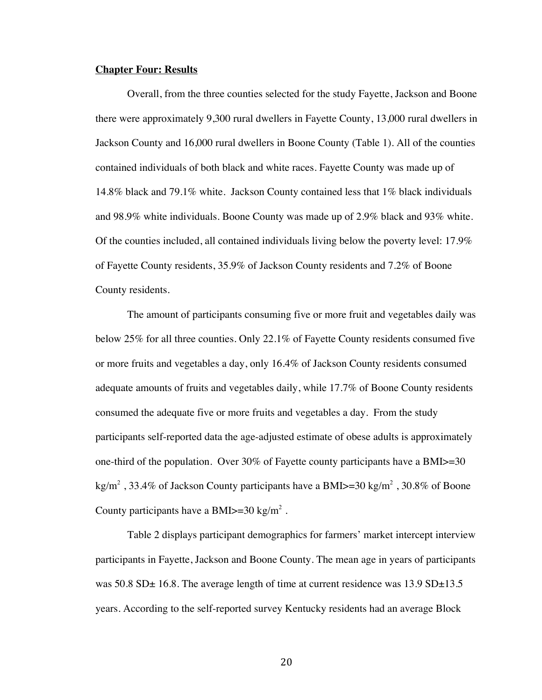#### **Chapter Four: Results**

Overall, from the three counties selected for the study Fayette, Jackson and Boone there were approximately 9,300 rural dwellers in Fayette County, 13,000 rural dwellers in Jackson County and 16,000 rural dwellers in Boone County (Table 1). All of the counties contained individuals of both black and white races. Fayette County was made up of 14.8% black and 79.1% white. Jackson County contained less that 1% black individuals and 98.9% white individuals. Boone County was made up of 2.9% black and 93% white. Of the counties included, all contained individuals living below the poverty level: 17.9% of Fayette County residents, 35.9% of Jackson County residents and 7.2% of Boone County residents.

The amount of participants consuming five or more fruit and vegetables daily was below 25% for all three counties. Only 22.1% of Fayette County residents consumed five or more fruits and vegetables a day, only 16.4% of Jackson County residents consumed adequate amounts of fruits and vegetables daily, while 17.7% of Boone County residents consumed the adequate five or more fruits and vegetables a day. From the study participants self-reported data the age-adjusted estimate of obese adults is approximately one-third of the population. Over 30% of Fayette county participants have a BMI>=30 kg/m<sup>2</sup>, 33.4% of Jackson County participants have a BMI $> = 30$  kg/m<sup>2</sup>, 30.8% of Boone County participants have a BMI $>=$ 30 kg/m<sup>2</sup>.

Table 2 displays participant demographics for farmers' market intercept interview participants in Fayette, Jackson and Boone County. The mean age in years of participants was  $50.8$  SD $\pm$  16.8. The average length of time at current residence was 13.9 SD $\pm$ 13.5 years. According to the self-reported survey Kentucky residents had an average Block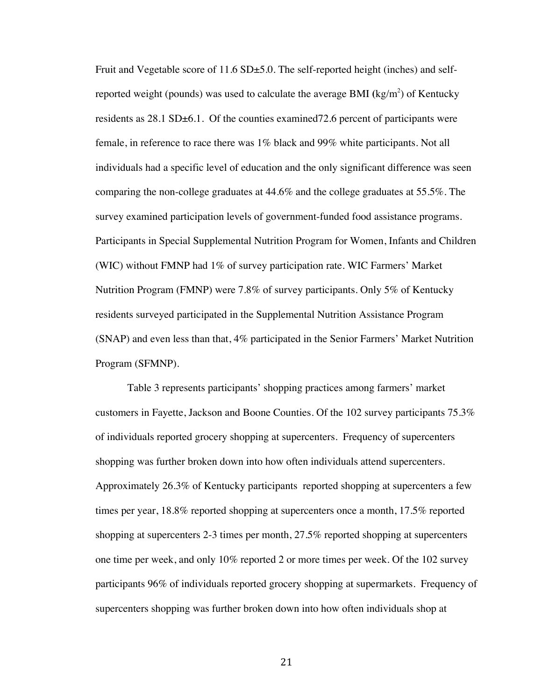Fruit and Vegetable score of 11.6 SD $\pm$ 5.0. The self-reported height (inches) and selfreported weight (pounds) was used to calculate the average BMI (kg/m<sup>2</sup>) of Kentucky residents as  $28.1$  SD $\pm$ 6.1. Of the counties examined 72.6 percent of participants were female, in reference to race there was 1% black and 99% white participants. Not all individuals had a specific level of education and the only significant difference was seen comparing the non-college graduates at 44.6% and the college graduates at 55.5%. The survey examined participation levels of government-funded food assistance programs. Participants in Special Supplemental Nutrition Program for Women, Infants and Children (WIC) without FMNP had 1% of survey participation rate. WIC Farmers' Market Nutrition Program (FMNP) were 7.8% of survey participants. Only 5% of Kentucky residents surveyed participated in the Supplemental Nutrition Assistance Program (SNAP) and even less than that, 4% participated in the Senior Farmers' Market Nutrition Program (SFMNP).

Table 3 represents participants' shopping practices among farmers' market customers in Fayette, Jackson and Boone Counties. Of the 102 survey participants 75.3% of individuals reported grocery shopping at supercenters. Frequency of supercenters shopping was further broken down into how often individuals attend supercenters. Approximately 26.3% of Kentucky participants reported shopping at supercenters a few times per year, 18.8% reported shopping at supercenters once a month, 17.5% reported shopping at supercenters 2-3 times per month, 27.5% reported shopping at supercenters one time per week, and only 10% reported 2 or more times per week. Of the 102 survey participants 96% of individuals reported grocery shopping at supermarkets. Frequency of supercenters shopping was further broken down into how often individuals shop at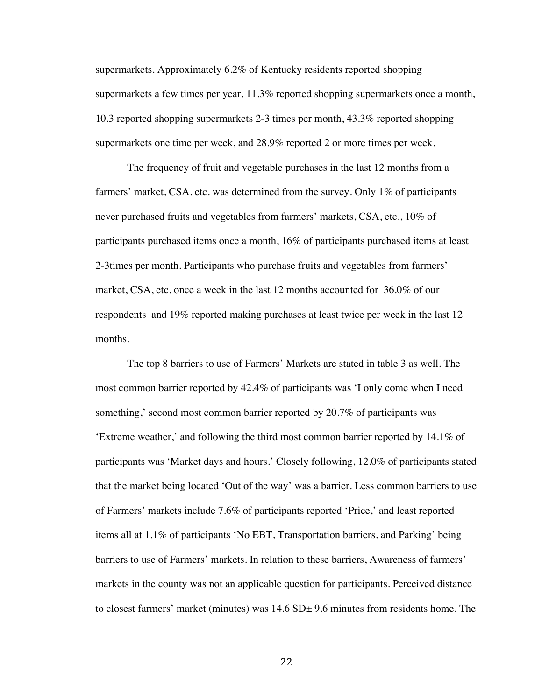supermarkets. Approximately 6.2% of Kentucky residents reported shopping supermarkets a few times per year, 11.3% reported shopping supermarkets once a month, 10.3 reported shopping supermarkets 2-3 times per month, 43.3% reported shopping supermarkets one time per week, and 28.9% reported 2 or more times per week.

The frequency of fruit and vegetable purchases in the last 12 months from a farmers' market, CSA, etc. was determined from the survey. Only 1% of participants never purchased fruits and vegetables from farmers' markets, CSA, etc., 10% of participants purchased items once a month, 16% of participants purchased items at least 2-3times per month. Participants who purchase fruits and vegetables from farmers' market, CSA, etc. once a week in the last 12 months accounted for 36.0% of our respondents and 19% reported making purchases at least twice per week in the last 12 months.

The top 8 barriers to use of Farmers' Markets are stated in table 3 as well. The most common barrier reported by 42.4% of participants was 'I only come when I need something,' second most common barrier reported by 20.7% of participants was 'Extreme weather,' and following the third most common barrier reported by 14.1% of participants was 'Market days and hours.' Closely following, 12.0% of participants stated that the market being located 'Out of the way' was a barrier. Less common barriers to use of Farmers' markets include 7.6% of participants reported 'Price,' and least reported items all at 1.1% of participants 'No EBT, Transportation barriers, and Parking' being barriers to use of Farmers' markets. In relation to these barriers, Awareness of farmers' markets in the county was not an applicable question for participants. Perceived distance to closest farmers' market (minutes) was  $14.6$  SD $\pm$  9.6 minutes from residents home. The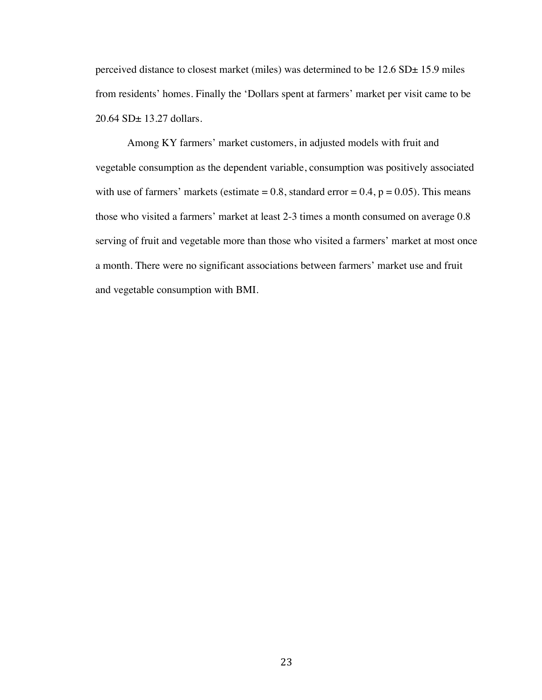perceived distance to closest market (miles) was determined to be 12.6 SD± 15.9 miles from residents' homes. Finally the 'Dollars spent at farmers' market per visit came to be 20.64 SD± 13.27 dollars.

Among KY farmers' market customers, in adjusted models with fruit and vegetable consumption as the dependent variable, consumption was positively associated with use of farmers' markets (estimate  $= 0.8$ , standard error  $= 0.4$ ,  $p = 0.05$ ). This means those who visited a farmers' market at least 2-3 times a month consumed on average 0.8 serving of fruit and vegetable more than those who visited a farmers' market at most once a month. There were no significant associations between farmers' market use and fruit and vegetable consumption with BMI.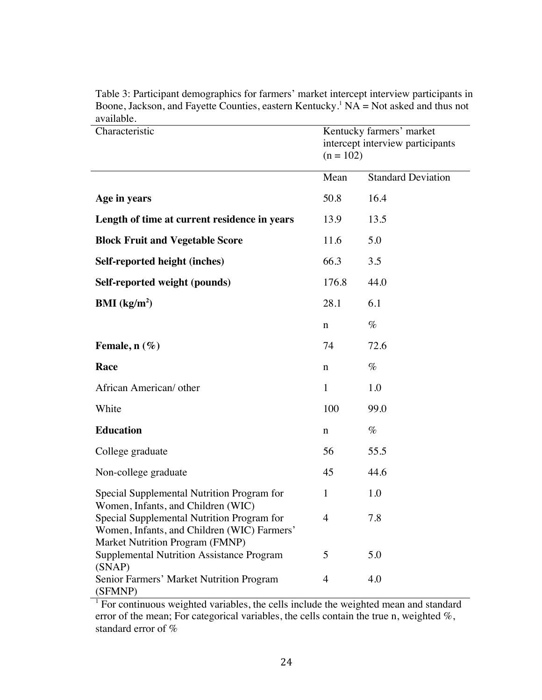| Characteristic                                                                                                               | Kentucky farmers' market<br>intercept interview participants<br>$(n = 102)$ |                           |
|------------------------------------------------------------------------------------------------------------------------------|-----------------------------------------------------------------------------|---------------------------|
|                                                                                                                              | Mean                                                                        | <b>Standard Deviation</b> |
| Age in years                                                                                                                 | 50.8                                                                        | 16.4                      |
| Length of time at current residence in years                                                                                 | 13.9                                                                        | 13.5                      |
| <b>Block Fruit and Vegetable Score</b>                                                                                       | 11.6                                                                        | 5.0                       |
| Self-reported height (inches)                                                                                                | 66.3                                                                        | 3.5                       |
| Self-reported weight (pounds)                                                                                                | 176.8                                                                       | 44.0                      |
| <b>BMI</b> ( $kg/m2$ )                                                                                                       | 28.1                                                                        | 6.1                       |
|                                                                                                                              | n                                                                           | $\%$                      |
| Female, $n$ (%)                                                                                                              | 74                                                                          | 72.6                      |
| Race                                                                                                                         | n                                                                           | $\%$                      |
| African American/ other                                                                                                      | $\mathbf{1}$                                                                | 1.0                       |
| White                                                                                                                        | 100                                                                         | 99.0                      |
| <b>Education</b>                                                                                                             | n                                                                           | $\%$                      |
| College graduate                                                                                                             | 56                                                                          | 55.5                      |
| Non-college graduate                                                                                                         | 45                                                                          | 44.6                      |
| Special Supplemental Nutrition Program for<br>Women, Infants, and Children (WIC)                                             | $\mathbf{1}$                                                                | 1.0                       |
| Special Supplemental Nutrition Program for<br>Women, Infants, and Children (WIC) Farmers'<br>Market Nutrition Program (FMNP) | 4                                                                           | 7.8                       |
| <b>Supplemental Nutrition Assistance Program</b>                                                                             | 5                                                                           | 5.0                       |
| (SNAP)<br>Senior Farmers' Market Nutrition Program<br>(SFMNP)                                                                | $\overline{4}$                                                              | 4.0                       |

Table 3: Participant demographics for farmers' market intercept interview participants in Boone, Jackson, and Fayette Counties, eastern Kentucky.<sup>1</sup> NA = Not asked and thus not available.

<sup>1</sup> For continuous weighted variables, the cells include the weighted mean and standard error of the mean; For categorical variables, the cells contain the true n, weighted %, standard error of %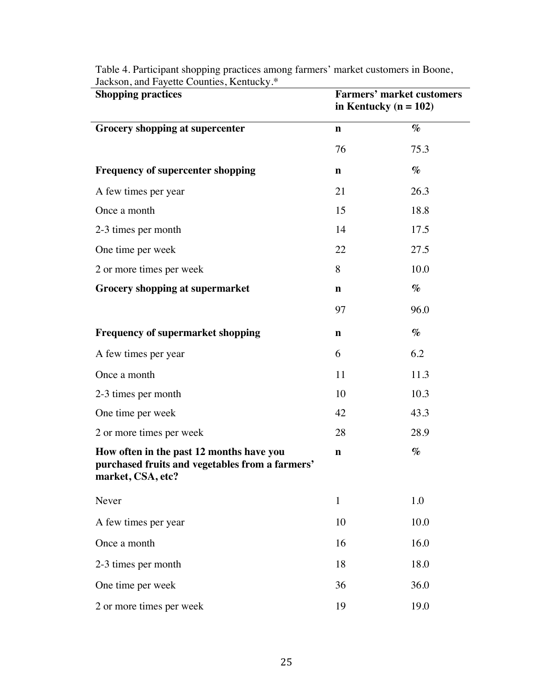| <b>Shopping practices</b>                                                                                        | <b>Farmers' market customers</b><br>in Kentucky ( $n = 102$ ) |      |  |  |
|------------------------------------------------------------------------------------------------------------------|---------------------------------------------------------------|------|--|--|
| Grocery shopping at supercenter                                                                                  | $\mathbf n$                                                   | $\%$ |  |  |
|                                                                                                                  | 76                                                            | 75.3 |  |  |
| <b>Frequency of supercenter shopping</b>                                                                         | $\mathbf n$                                                   | $\%$ |  |  |
| A few times per year                                                                                             | 21                                                            | 26.3 |  |  |
| Once a month                                                                                                     | 15                                                            | 18.8 |  |  |
| 2-3 times per month                                                                                              | 14                                                            | 17.5 |  |  |
| One time per week                                                                                                | 22                                                            | 27.5 |  |  |
| 2 or more times per week                                                                                         | 8                                                             | 10.0 |  |  |
| <b>Grocery shopping at supermarket</b>                                                                           | $\mathbf n$                                                   | $\%$ |  |  |
|                                                                                                                  | 97                                                            | 96.0 |  |  |
| <b>Frequency of supermarket shopping</b>                                                                         | $\mathbf n$                                                   | $\%$ |  |  |
| A few times per year                                                                                             | 6                                                             | 6.2  |  |  |
| Once a month                                                                                                     | 11                                                            | 11.3 |  |  |
| 2-3 times per month                                                                                              | 10                                                            | 10.3 |  |  |
| One time per week                                                                                                | 42                                                            | 43.3 |  |  |
| 2 or more times per week                                                                                         | 28                                                            | 28.9 |  |  |
| How often in the past 12 months have you<br>purchased fruits and vegetables from a farmers'<br>market, CSA, etc? | $\mathbf n$                                                   | $\%$ |  |  |
| Never                                                                                                            | $\mathbf{1}$                                                  | 1.0  |  |  |
| A few times per year                                                                                             | 10                                                            | 10.0 |  |  |
| Once a month                                                                                                     | 16                                                            | 16.0 |  |  |
| 2-3 times per month                                                                                              | 18                                                            | 18.0 |  |  |
| One time per week                                                                                                | 36                                                            | 36.0 |  |  |
| 2 or more times per week                                                                                         | 19                                                            | 19.0 |  |  |

Table 4. Participant shopping practices among farmers' market customers in Boone, Jackson, and Fayette Counties, Kentucky.\*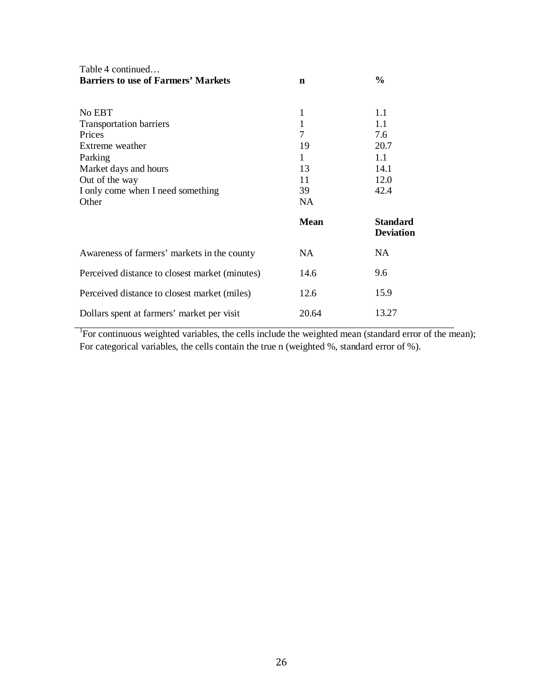| Table 4 continued                              |             |                                     |
|------------------------------------------------|-------------|-------------------------------------|
| <b>Barriers to use of Farmers' Markets</b>     | $\mathbf n$ | $\frac{6}{9}$                       |
|                                                |             |                                     |
| No EBT                                         | 1           | 1.1                                 |
| <b>Transportation barriers</b>                 | 1           | 1.1                                 |
| Prices                                         | 7           | 7.6                                 |
| Extreme weather                                | 19          | 20.7                                |
| Parking                                        | 1           | $1.1\,$                             |
| Market days and hours                          | 13          | 14.1                                |
| Out of the way                                 | 11          | 12.0                                |
| I only come when I need something              | 39          | 42.4                                |
| Other                                          | NA          |                                     |
|                                                | <b>Mean</b> | <b>Standard</b><br><b>Deviation</b> |
| Awareness of farmers' markets in the county    | NA.         | <b>NA</b>                           |
| Perceived distance to closest market (minutes) | 14.6        | 9.6                                 |
| Perceived distance to closest market (miles)   | 12.6        | 15.9                                |
| Dollars spent at farmers' market per visit     | 20.64       | 13.27                               |

<sup>1</sup>For continuous weighted variables, the cells include the weighted mean (standard error of the mean); For categorical variables, the cells contain the true n (weighted %, standard error of %).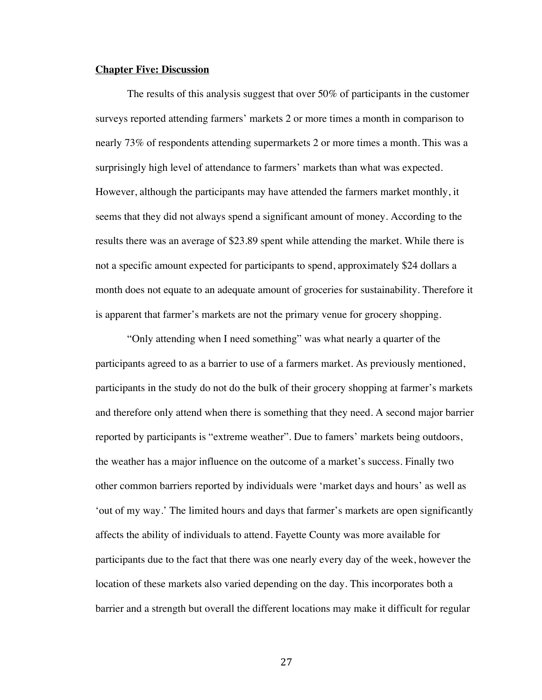#### **Chapter Five: Discussion**

The results of this analysis suggest that over 50% of participants in the customer surveys reported attending farmers' markets 2 or more times a month in comparison to nearly 73% of respondents attending supermarkets 2 or more times a month. This was a surprisingly high level of attendance to farmers' markets than what was expected. However, although the participants may have attended the farmers market monthly, it seems that they did not always spend a significant amount of money. According to the results there was an average of \$23.89 spent while attending the market. While there is not a specific amount expected for participants to spend, approximately \$24 dollars a month does not equate to an adequate amount of groceries for sustainability. Therefore it is apparent that farmer's markets are not the primary venue for grocery shopping.

"Only attending when I need something" was what nearly a quarter of the participants agreed to as a barrier to use of a farmers market. As previously mentioned, participants in the study do not do the bulk of their grocery shopping at farmer's markets and therefore only attend when there is something that they need. A second major barrier reported by participants is "extreme weather". Due to famers' markets being outdoors, the weather has a major influence on the outcome of a market's success. Finally two other common barriers reported by individuals were 'market days and hours' as well as 'out of my way.' The limited hours and days that farmer's markets are open significantly affects the ability of individuals to attend. Fayette County was more available for participants due to the fact that there was one nearly every day of the week, however the location of these markets also varied depending on the day. This incorporates both a barrier and a strength but overall the different locations may make it difficult for regular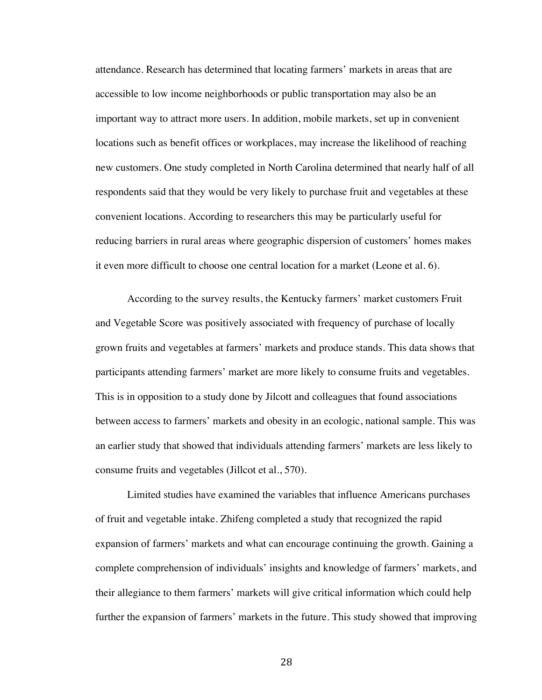attendance. Research has determined that locating farmers' markets in areas that are accessible to low income neighborhoods or public transportation may also be an important way to attract more users. In addition, mobile markets, set up in convenient locations such as benefit offices or workplaces, may increase the likelihood of reaching new customers. One study completed in North Carolina determined that nearly half of all respondents said that they would be very likely to purchase fruit and vegetables at these convenient locations. According to researchers this may be particularly useful for reducing barriers in rural areas where geographic dispersion of customers' homes makes it even more difficult to choose one central location for a market (Leone et al. 6).

According to the survey results, the Kentucky farmers' market customers Fruit and Vegetable Score was positively associated with frequency of purchase of locally grown fruits and vegetables at farmers' markets and produce stands. This data shows that participants attending farmers' market are more likely to consume fruits and vegetables. This is in opposition to a study done by Jilcott and colleagues that found associations between access to farmers' markets and obesity in an ecologic, national sample. This was an earlier study that showed that individuals attending farmers' markets are less likely to consume fruits and vegetables (Jillcot et al., 570).

Limited studies have examined the variables that influence Americans purchases of fruit and vegetable intake. Zhifeng completed a study that recognized the rapid expansion of farmers' markets and what can encourage continuing the growth. Gaining a complete comprehension of individuals' insights and knowledge of farmers' markets, and their allegiance to them farmers' markets will give critical information which could help further the expansion of farmers' markets in the future. This study showed that improving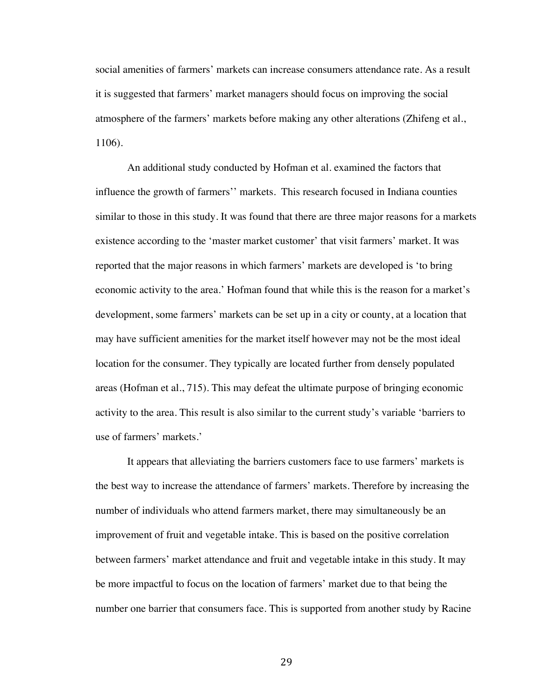social amenities of farmers' markets can increase consumers attendance rate. As a result it is suggested that farmers' market managers should focus on improving the social atmosphere of the farmers' markets before making any other alterations (Zhifeng et al., 1106).

An additional study conducted by Hofman et al. examined the factors that influence the growth of farmers'' markets. This research focused in Indiana counties similar to those in this study. It was found that there are three major reasons for a markets existence according to the 'master market customer' that visit farmers' market. It was reported that the major reasons in which farmers' markets are developed is 'to bring economic activity to the area.' Hofman found that while this is the reason for a market's development, some farmers' markets can be set up in a city or county, at a location that may have sufficient amenities for the market itself however may not be the most ideal location for the consumer. They typically are located further from densely populated areas (Hofman et al., 715). This may defeat the ultimate purpose of bringing economic activity to the area. This result is also similar to the current study's variable 'barriers to use of farmers' markets.'

It appears that alleviating the barriers customers face to use farmers' markets is the best way to increase the attendance of farmers' markets. Therefore by increasing the number of individuals who attend farmers market, there may simultaneously be an improvement of fruit and vegetable intake. This is based on the positive correlation between farmers' market attendance and fruit and vegetable intake in this study. It may be more impactful to focus on the location of farmers' market due to that being the number one barrier that consumers face. This is supported from another study by Racine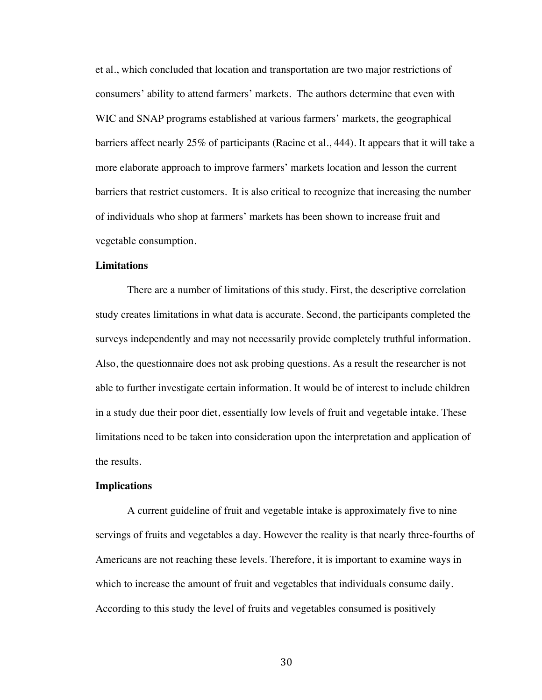et al., which concluded that location and transportation are two major restrictions of consumers' ability to attend farmers' markets. The authors determine that even with WIC and SNAP programs established at various farmers' markets, the geographical barriers affect nearly 25% of participants (Racine et al., 444). It appears that it will take a more elaborate approach to improve farmers' markets location and lesson the current barriers that restrict customers. It is also critical to recognize that increasing the number of individuals who shop at farmers' markets has been shown to increase fruit and vegetable consumption.

#### **Limitations**

There are a number of limitations of this study. First, the descriptive correlation study creates limitations in what data is accurate. Second, the participants completed the surveys independently and may not necessarily provide completely truthful information. Also, the questionnaire does not ask probing questions. As a result the researcher is not able to further investigate certain information. It would be of interest to include children in a study due their poor diet, essentially low levels of fruit and vegetable intake. These limitations need to be taken into consideration upon the interpretation and application of the results.

## **Implications**

A current guideline of fruit and vegetable intake is approximately five to nine servings of fruits and vegetables a day. However the reality is that nearly three-fourths of Americans are not reaching these levels. Therefore, it is important to examine ways in which to increase the amount of fruit and vegetables that individuals consume daily. According to this study the level of fruits and vegetables consumed is positively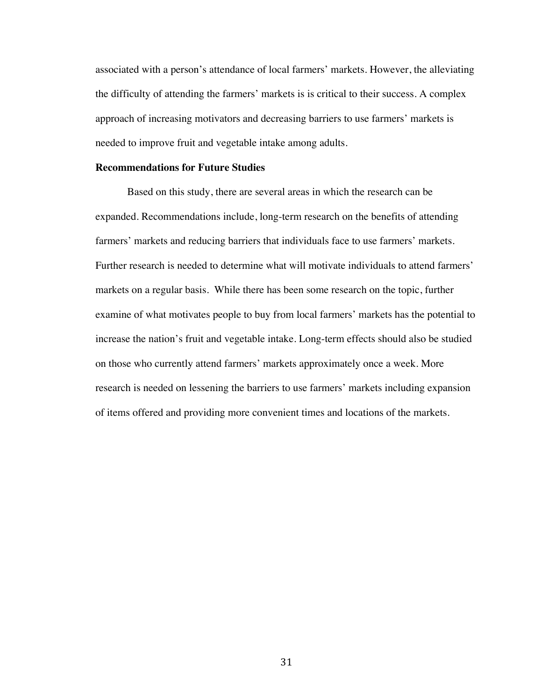associated with a person's attendance of local farmers' markets. However, the alleviating the difficulty of attending the farmers' markets is is critical to their success. A complex approach of increasing motivators and decreasing barriers to use farmers' markets is needed to improve fruit and vegetable intake among adults.

#### **Recommendations for Future Studies**

Based on this study, there are several areas in which the research can be expanded. Recommendations include, long-term research on the benefits of attending farmers' markets and reducing barriers that individuals face to use farmers' markets. Further research is needed to determine what will motivate individuals to attend farmers' markets on a regular basis. While there has been some research on the topic, further examine of what motivates people to buy from local farmers' markets has the potential to increase the nation's fruit and vegetable intake. Long-term effects should also be studied on those who currently attend farmers' markets approximately once a week. More research is needed on lessening the barriers to use farmers' markets including expansion of items offered and providing more convenient times and locations of the markets.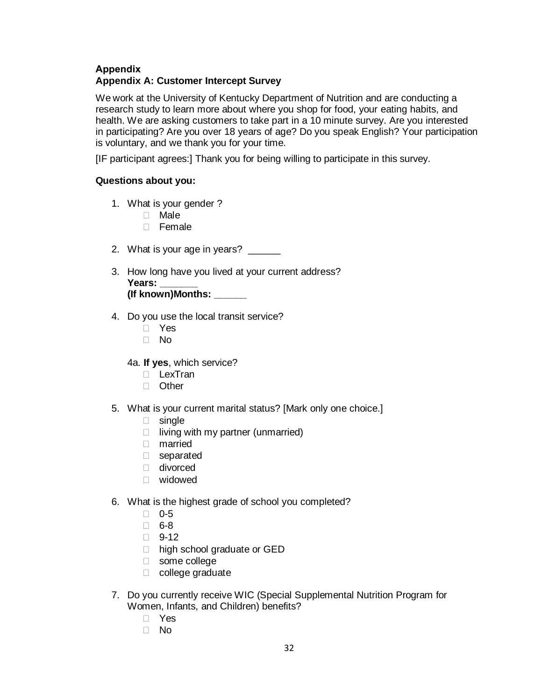# **Appendix Appendix A: Customer Intercept Survey**

We work at the University of Kentucky Department of Nutrition and are conducting a research study to learn more about where you shop for food, your eating habits, and health. We are asking customers to take part in a 10 minute survey. Are you interested in participating? Are you over 18 years of age? Do you speak English? Your participation is voluntary, and we thank you for your time.

[IF participant agrees:] Thank you for being willing to participate in this survey.

# **Questions about you:**

- 1. What is your gender ?
	- Male
	- $\Box$  Female
- 2. What is your age in years?
- 3. How long have you lived at your current address? **Years: \_\_\_\_\_\_\_ (If known)Months: \_\_\_\_\_\_**
- 4. Do you use the local transit service?
	- D Yes
	- $\neg$  No
	- 4a. **If yes**, which service?
		- D LexTran
		- □ Other
- 5. What is your current marital status? [Mark only one choice.]
	- single
	- $\Box$  living with my partner (unmarried)
	- married
	- separated
	- divorced
	- widowed
- 6. What is the highest grade of school you completed?
	- $\Box$  0-5
	- $\Box$  6-8
	- $\Box$  9-12
	- □ high school graduate or GED
	- some college
	- $\Box$  college graduate
- 7. Do you currently receive WIC (Special Supplemental Nutrition Program for Women, Infants, and Children) benefits?
	- Yes
	- $\Box$  No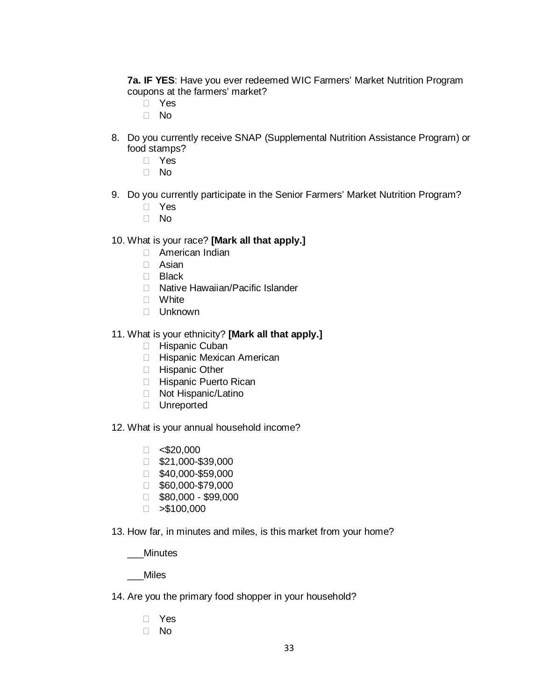**7a. IF YES**: Have you ever redeemed WIC Farmers' Market Nutrition Program coupons at the farmers' market?

- D Yes
- $\Box$  No
- 8. Do you currently receive SNAP (Supplemental Nutrition Assistance Program) or food stamps?
	- Yes
	- $\Box$  No
- 9. Do you currently participate in the Senior Farmers' Market Nutrition Program?
	- D Yes
	- No

## 10. What is your race? **[Mark all that apply.]**

- American Indian
- Asian
- D Black
- □ Native Hawaiian/Pacific Islander
- White
- Unknown
- 11. What is your ethnicity? **[Mark all that apply.]**
	- **Hispanic Cuban**
	- **Hispanic Mexican American**
	- □ Hispanic Other
	- □ Hispanic Puerto Rican
	- □ Not Hispanic/Latino
	- D Unreported
- 12. What is your annual household income?
	- $\Box$  <\$20,000
	- \$21,000-\$39,000
	- $\Box$  \$40,000-\$59,000
	- \$60,000-\$79,000
	- $\Box$  \$80,000 \$99,000
	- $\Box > $100,000$
- 13. How far, in minutes and miles, is this market from your home?

\_\_\_Minutes

\_\_\_Miles

- 14. Are you the primary food shopper in your household?
	- Yes
	- No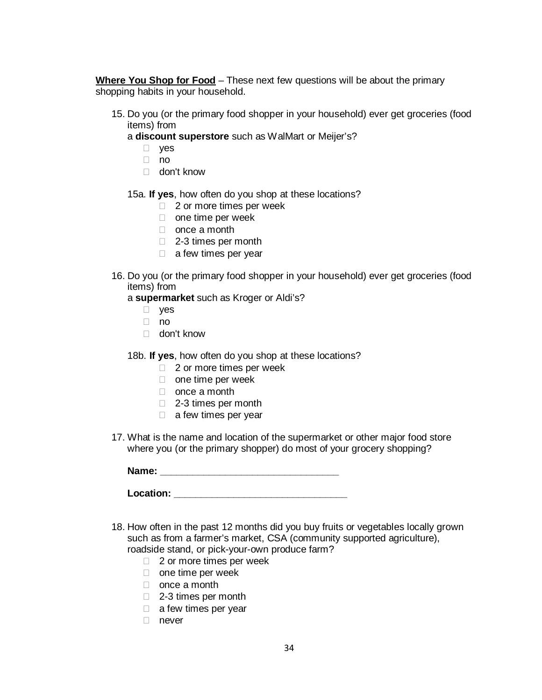**Where You Shop for Food** – These next few questions will be about the primary shopping habits in your household.

- 15. Do you (or the primary food shopper in your household) ever get groceries (food items) from
	- a **discount superstore** such as WalMart or Meijer's?
		- D ves
		- $\Box$  no
		- don't know
	- 15a. **If yes**, how often do you shop at these locations?
		- $\Box$  2 or more times per week
		- $\Box$  one time per week
		- □ once a month
		- □ 2-3 times per month
		- $\Box$  a few times per year
- 16. Do you (or the primary food shopper in your household) ever get groceries (food items) from

a **supermarket** such as Kroger or Aldi's?

- D ves
- no
- don't know
- 18b. **If yes**, how often do you shop at these locations?
	- $\Box$  2 or more times per week
	- $\Box$  one time per week
	- □ once a month
	- □ 2-3 times per month
	- $\Box$  a few times per year
- 17. What is the name and location of the supermarket or other major food store where you (or the primary shopper) do most of your grocery shopping?

**Name: \_\_\_\_\_\_\_\_\_\_\_\_\_\_\_\_\_\_\_\_\_\_\_\_\_\_\_\_\_\_\_\_\_**

| Location: |  |  |  |
|-----------|--|--|--|
|           |  |  |  |

- 18. How often in the past 12 months did you buy fruits or vegetables locally grown such as from a farmer's market, CSA (community supported agriculture), roadside stand, or pick-your-own produce farm?
	- □ 2 or more times per week
	- $\Box$  one time per week
	- □ once a month
	- □ 2-3 times per month
	- □ a few times per vear
	- □ never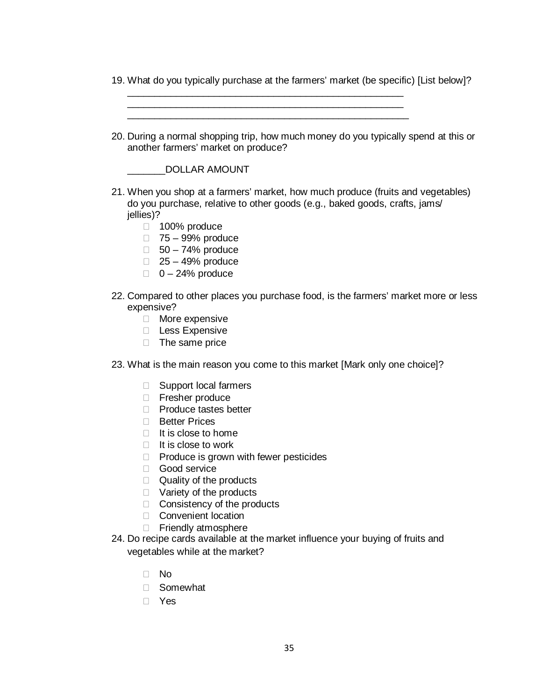19. What do you typically purchase at the farmers' market (be specific) [List below]?

| 20. During a normal shopping trip, how much money do you typically spend at this or<br>another farmers' market on produce?                                                                                                                                                                                                                                                                                                                                                                                                                              |
|---------------------------------------------------------------------------------------------------------------------------------------------------------------------------------------------------------------------------------------------------------------------------------------------------------------------------------------------------------------------------------------------------------------------------------------------------------------------------------------------------------------------------------------------------------|
| <b>DOLLAR AMOUNT</b>                                                                                                                                                                                                                                                                                                                                                                                                                                                                                                                                    |
| 21. When you shop at a farmers' market, how much produce (fruits and vegetables)<br>do you purchase, relative to other goods (e.g., baked goods, crafts, jams/<br>jellies)?                                                                                                                                                                                                                                                                                                                                                                             |
| 100% produce<br>u.<br>$\Box$ 75 – 99% produce<br>$\Box$ 50 - 74% produce<br>$\Box$ 25 - 49% produce<br>$\Box$ 0 - 24% produce                                                                                                                                                                                                                                                                                                                                                                                                                           |
| 22. Compared to other places you purchase food, is the farmers' market more or less<br>expensive?<br>More expensive<br><b>Less Expensive</b><br>The same price<br>u.                                                                                                                                                                                                                                                                                                                                                                                    |
| 23. What is the main reason you come to this market [Mark only one choice]?                                                                                                                                                                                                                                                                                                                                                                                                                                                                             |
| Support local farmers<br>$\Box$<br>Fresher produce<br>$\Box$<br>Produce tastes better<br>П.<br><b>Better Prices</b><br>П<br>It is close to home<br>Ш<br>It is close to work<br>П<br>Produce is grown with fewer pesticides<br>$\Box$<br>Good service<br>П.<br>Quality of the products<br>П<br>Variety of the products<br>Ш<br>Consistency of the products<br>Ш<br>Convenient location<br>$\mathbf{L}$<br>Friendly atmosphere<br>П<br>24. Do recipe cards available at the market influence your buying of fruits and<br>vegetables while at the market? |
| No<br>Ħ<br>Somewhat<br>Ш                                                                                                                                                                                                                                                                                                                                                                                                                                                                                                                                |
|                                                                                                                                                                                                                                                                                                                                                                                                                                                                                                                                                         |

Yes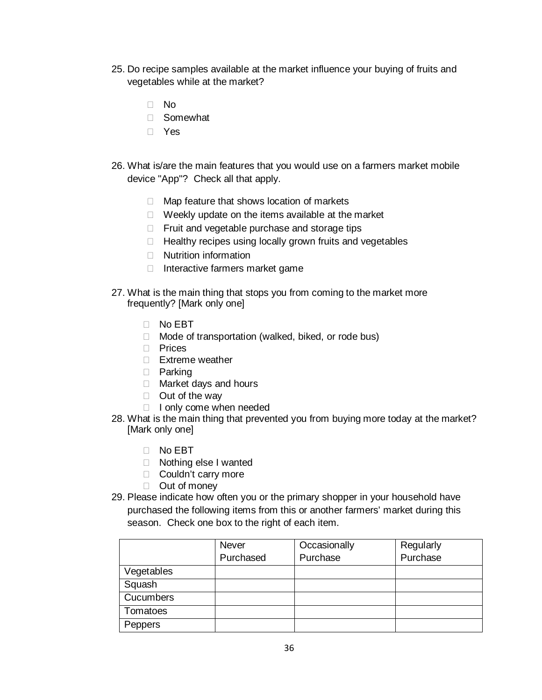- 25. Do recipe samples available at the market influence your buying of fruits and vegetables while at the market?
	- □ No
	- □ Somewhat
	- Yes
- 26. What is/are the main features that you would use on a farmers market mobile device "App"? Check all that apply.
	- $\Box$  Map feature that shows location of markets
	- $\Box$  Weekly update on the items available at the market
	- $\Box$  Fruit and vegetable purchase and storage tips
	- $\Box$  Healthy recipes using locally grown fruits and vegetables
	- □ Nutrition information
	- $\Box$  Interactive farmers market game
- 27. What is the main thing that stops you from coming to the market more frequently? [Mark only one]
	- No EBT
	- $\Box$  Mode of transportation (walked, biked, or rode bus)
	- $\Box$  Prices
	- Extreme weather
	- D Parking
	- □ Market days and hours
	- $\Box$  Out of the way
	- $\Box$  I only come when needed
- 28. What is the main thing that prevented you from buying more today at the market? [Mark only one]
	- No EBT
	- □ Nothing else I wanted
	- □ Couldn't carry more
	- D Out of money
- 29. Please indicate how often you or the primary shopper in your household have purchased the following items from this or another farmers' market during this season. Check one box to the right of each item.

|                  | <b>Never</b> | Occasionally | Regularly |
|------------------|--------------|--------------|-----------|
|                  | Purchased    | Purchase     | Purchase  |
| Vegetables       |              |              |           |
| Squash           |              |              |           |
| <b>Cucumbers</b> |              |              |           |
| Tomatoes         |              |              |           |
| Peppers          |              |              |           |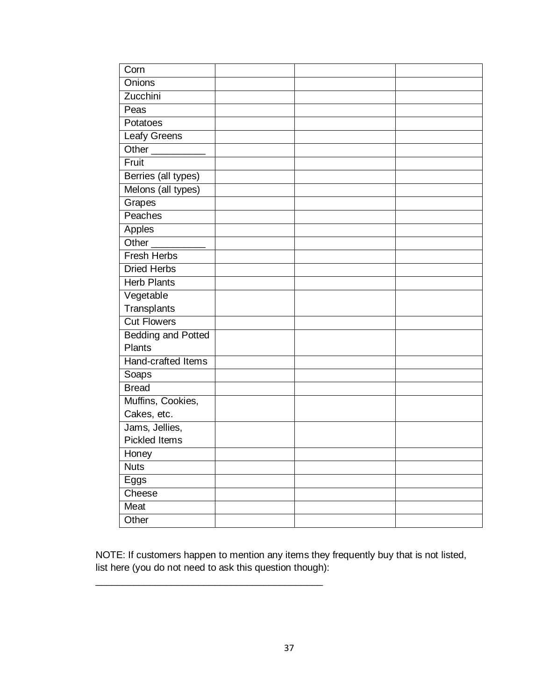| Corn                      |  |  |
|---------------------------|--|--|
| Onions                    |  |  |
| Zucchini                  |  |  |
| Peas                      |  |  |
| Potatoes                  |  |  |
| Leafy Greens              |  |  |
| Other                     |  |  |
| Fruit                     |  |  |
| Berries (all types)       |  |  |
| Melons (all types)        |  |  |
| Grapes                    |  |  |
| <b>Peaches</b>            |  |  |
| Apples                    |  |  |
| Other $\_\_$              |  |  |
| Fresh Herbs               |  |  |
| <b>Dried Herbs</b>        |  |  |
| <b>Herb Plants</b>        |  |  |
| Vegetable                 |  |  |
| Transplants               |  |  |
| <b>Cut Flowers</b>        |  |  |
| <b>Bedding and Potted</b> |  |  |
| <b>Plants</b>             |  |  |
| Hand-crafted Items        |  |  |
| Soaps                     |  |  |
| <b>Bread</b>              |  |  |
| Muffins, Cookies,         |  |  |
| Cakes, etc.               |  |  |
| Jams, Jellies,            |  |  |
| <b>Pickled Items</b>      |  |  |
| Honey                     |  |  |
| <b>Nuts</b>               |  |  |
| Eggs                      |  |  |
| Cheese                    |  |  |
| Meat                      |  |  |
| Other                     |  |  |

NOTE: If customers happen to mention any items they frequently buy that is not listed, list here (you do not need to ask this question though):

\_\_\_\_\_\_\_\_\_\_\_\_\_\_\_\_\_\_\_\_\_\_\_\_\_\_\_\_\_\_\_\_\_\_\_\_\_\_\_\_\_\_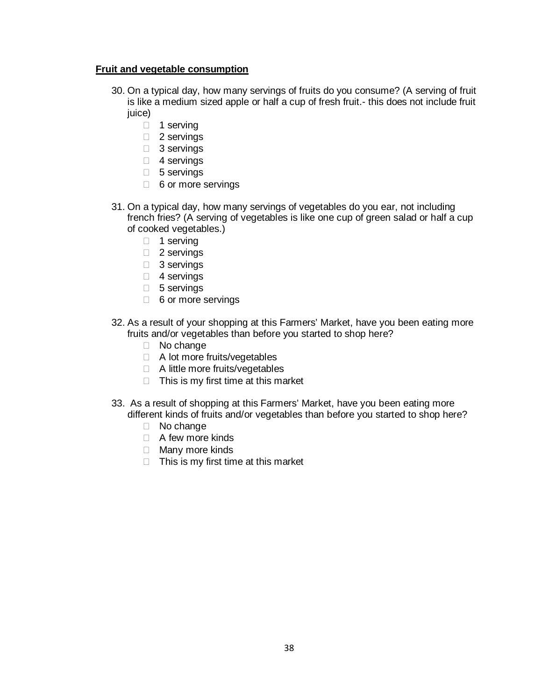## **Fruit and vegetable consumption**

- 30. On a typical day, how many servings of fruits do you consume? (A serving of fruit is like a medium sized apple or half a cup of fresh fruit.- this does not include fruit juice)
	- $\Box$  1 serving
	- □ 2 servings
	- 3 servings
	- □ 4 servings
	- 5 servings
	- 6 or more servings
- 31. On a typical day, how many servings of vegetables do you ear, not including french fries? (A serving of vegetables is like one cup of green salad or half a cup of cooked vegetables.)
	- $\Box$  1 serving
	- □ 2 servings
	- 3 servings
	- □ 4 servings
	- □ 5 servings
	- □ 6 or more servings
- 32. As a result of your shopping at this Farmers' Market, have you been eating more fruits and/or vegetables than before you started to shop here?
	- No change
	- □ A lot more fruits/vegetables
	- □ A little more fruits/vegetables
	- $\Box$  This is my first time at this market
- 33. As a result of shopping at this Farmers' Market, have you been eating more different kinds of fruits and/or vegetables than before you started to shop here?
	- □ No change
	- □ A few more kinds
	- □ Many more kinds
	- $\Box$  This is my first time at this market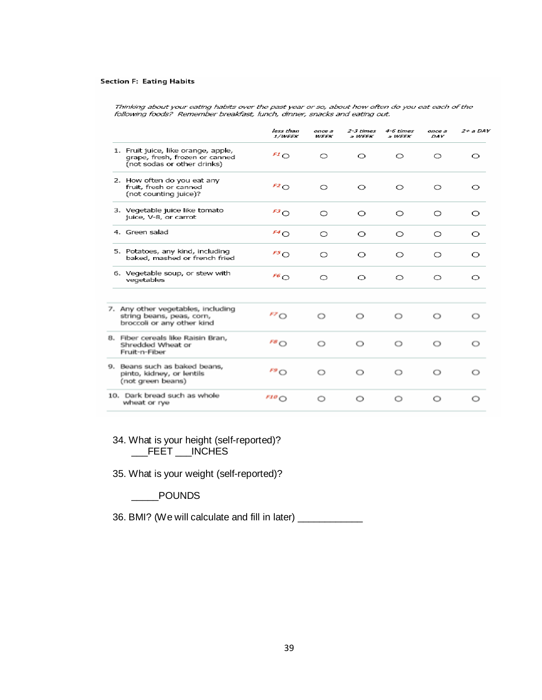#### **Section F: Eating Habits**

Thinking about your eating habits over the past year or so, about how often do you eat each of the<br>following foods? Remember breakfast, lunch, dinner, snacks and eating out.

|                                                                                                      | less than<br><i><b>1/WEEK</b></i> | once a<br><b>WEEK</b> | 2-3 times<br>a WEEK | 4-6 times<br>a WEEK | once a<br>DAY | $2+$ a DAY |
|------------------------------------------------------------------------------------------------------|-----------------------------------|-----------------------|---------------------|---------------------|---------------|------------|
| 1. Fruit juice, like orange, apple,<br>grape, fresh, frozen or canned<br>(not sodas or other drinks) | $F1$ O                            | $\circ$               | $\circ$             | $\circ$             | O             | O          |
| 2. How often do you eat any<br>fruit, fresh or canned<br>(not counting juice)?                       | F2O                               | $\circ$               | $\circ$             | $\circ$             | O             | O          |
| 3. Vegetable juice like tomato<br>juice, V-8, or carrot                                              | $F^3$ O                           | $\circ$               | $\circ$             | $\circ$             | O             | O          |
| 4. Green salad                                                                                       | $F^4O$                            | $\circ$               | $\circ$             | O                   | O             | $\circ$    |
| 5. Potatoes, any kind, including<br>baked, mashed or french fried                                    | 55                                | $\circ$               | $\circ$             | O                   | O             | O          |
| 6. Vegetable soup, or stew with<br>vegetables                                                        | $^{F6}$ O                         | $\circ$               | $\circ$             | O                   | $\circ$       | O          |
| 7. Any other vegetables, including<br>string beans, peas, corn,<br>broccoli or any other kind        | FZ                                | $\circ$               | O                   | $\circ$             | $\circ$       | O          |
| 8. Fiber cereals like Raisin Bran,<br>Shredded Wheat or<br>Fruit-n-Fiber                             | $F^g$ O                           | $\circ$               | O                   | $\circ$             | $\circ$       | O          |
| 9. Beans such as baked beans,<br>pinto, kidney, or lentils<br>(not green beans)                      | $F^g$ O                           | $\circ$               | $\circ$             | $\circ$             | $\circ$       | O          |
| 10. Dark bread such as whole<br>wheat or rye                                                         | F10O                              | O                     | O                   | O                   | O             | O          |

## 34. What is your height (self-reported)? \_\_\_FEET \_\_\_INCHES

35. What is your weight (self-reported)?

\_\_\_\_\_POUNDS

36. BMI? (We will calculate and fill in later) \_\_\_\_\_\_\_\_\_\_\_\_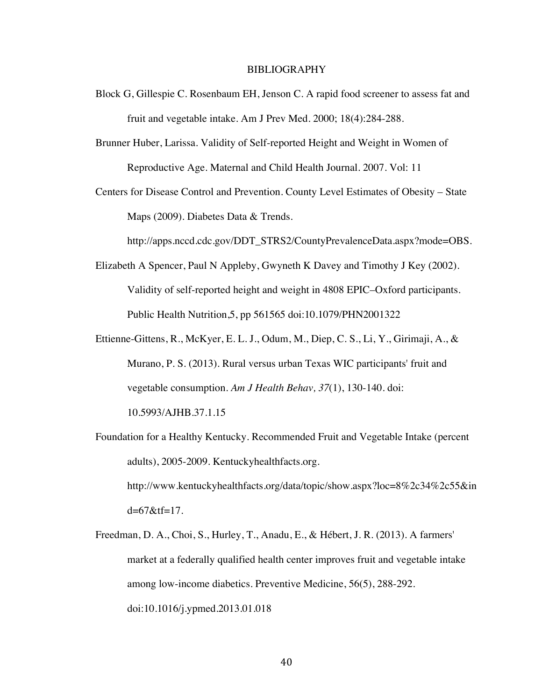#### BIBLIOGRAPHY

- Block G, Gillespie C. Rosenbaum EH, Jenson C. A rapid food screener to assess fat and fruit and vegetable intake. Am J Prev Med. 2000; 18(4):284-288.
- Brunner Huber, Larissa. Validity of Self-reported Height and Weight in Women of Reproductive Age. Maternal and Child Health Journal. 2007. Vol: 11
- Centers for Disease Control and Prevention. County Level Estimates of Obesity State Maps (2009). Diabetes Data & Trends.

http://apps.nccd.cdc.gov/DDT\_STRS2/CountyPrevalenceData.aspx?mode=OBS.

- Elizabeth A Spencer, Paul N Appleby, Gwyneth K Davey and Timothy J Key (2002). Validity of self-reported height and weight in 4808 EPIC–Oxford participants. Public Health Nutrition,5, pp 561565 doi:10.1079/PHN2001322
- Ettienne-Gittens, R., McKyer, E. L. J., Odum, M., Diep, C. S., Li, Y., Girimaji, A., & Murano, P. S. (2013). Rural versus urban Texas WIC participants' fruit and vegetable consumption. *Am J Health Behav, 37*(1), 130-140. doi: 10.5993/AJHB.37.1.15
- Foundation for a Healthy Kentucky. Recommended Fruit and Vegetable Intake (percent adults), 2005-2009. Kentuckyhealthfacts.org. http://www.kentuckyhealthfacts.org/data/topic/show.aspx?loc=8%2c34%2c55&in d=67&tf=17.
- Freedman, D. A., Choi, S., Hurley, T., Anadu, E., & Hébert, J. R. (2013). A farmers' market at a federally qualified health center improves fruit and vegetable intake among low-income diabetics. Preventive Medicine, 56(5), 288-292. doi:10.1016/j.ypmed.2013.01.018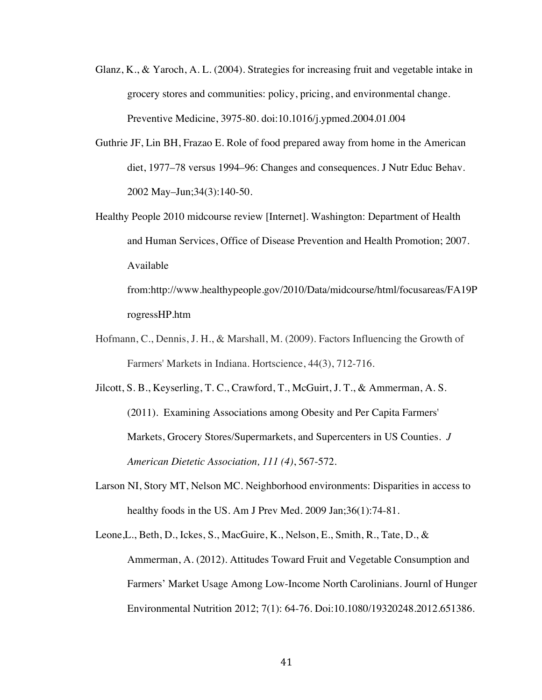- Glanz, K., & Yaroch, A. L. (2004). Strategies for increasing fruit and vegetable intake in grocery stores and communities: policy, pricing, and environmental change. Preventive Medicine, 3975-80. doi:10.1016/j.ypmed.2004.01.004
- Guthrie JF, Lin BH, Frazao E. Role of food prepared away from home in the American diet, 1977–78 versus 1994–96: Changes and consequences. J Nutr Educ Behav. 2002 May–Jun;34(3):140-50.

Healthy People 2010 midcourse review [Internet]. Washington: Department of Health and Human Services, Office of Disease Prevention and Health Promotion; 2007. Available

from:http://www.healthypeople.gov/2010/Data/midcourse/html/focusareas/FA19P rogressHP.htm

Hofmann, C., Dennis, J. H., & Marshall, M. (2009). Factors Influencing the Growth of Farmers' Markets in Indiana. Hortscience, 44(3), 712-716.

Jilcott, S. B., Keyserling, T. C., Crawford, T., McGuirt, J. T., & Ammerman, A. S. (2011). Examining Associations among Obesity and Per Capita Farmers' Markets, Grocery Stores/Supermarkets, and Supercenters in US Counties. *J American Dietetic Association, 111 (4)*, 567-572.

Larson NI, Story MT, Nelson MC. Neighborhood environments: Disparities in access to healthy foods in the US. Am J Prev Med. 2009 Jan;36(1):74-81.

Leone,L., Beth, D., Ickes, S., MacGuire, K., Nelson, E., Smith, R., Tate, D., & Ammerman, A. (2012). Attitudes Toward Fruit and Vegetable Consumption and Farmers' Market Usage Among Low-Income North Carolinians. Journl of Hunger Environmental Nutrition 2012; 7(1): 64-76. Doi:10.1080/19320248.2012.651386.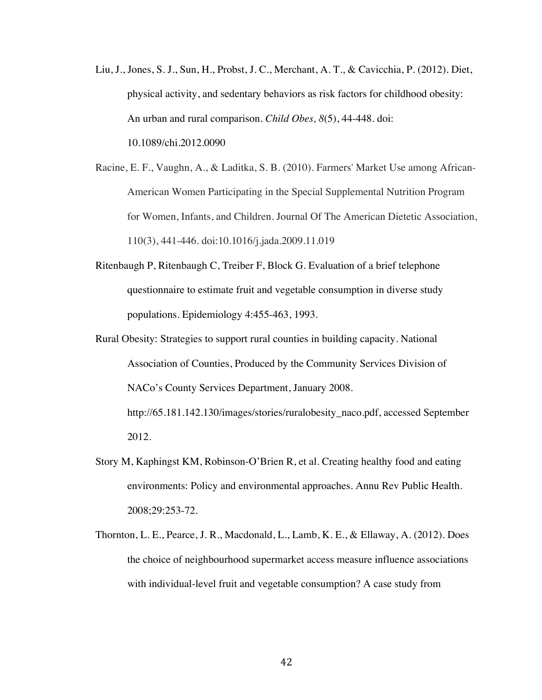- Liu, J., Jones, S. J., Sun, H., Probst, J. C., Merchant, A. T., & Cavicchia, P. (2012). Diet, physical activity, and sedentary behaviors as risk factors for childhood obesity: An urban and rural comparison. *Child Obes, 8*(5), 44-448. doi: 10.1089/chi.2012.0090
- Racine, E. F., Vaughn, A., & Laditka, S. B. (2010). Farmers' Market Use among African-American Women Participating in the Special Supplemental Nutrition Program for Women, Infants, and Children. Journal Of The American Dietetic Association, 110(3), 441-446. doi:10.1016/j.jada.2009.11.019
- Ritenbaugh P, Ritenbaugh C, Treiber F, Block G. Evaluation of a brief telephone questionnaire to estimate fruit and vegetable consumption in diverse study populations. Epidemiology 4:455-463, 1993.
- Rural Obesity: Strategies to support rural counties in building capacity. National Association of Counties, Produced by the Community Services Division of NACo's County Services Department, January 2008. http://65.181.142.130/images/stories/ruralobesity\_naco.pdf, accessed September 2012.
- Story M, Kaphingst KM, Robinson-O'Brien R, et al. Creating healthy food and eating environments: Policy and environmental approaches. Annu Rev Public Health. 2008;29:253-72.
- Thornton, L. E., Pearce, J. R., Macdonald, L., Lamb, K. E., & Ellaway, A. (2012). Does the choice of neighbourhood supermarket access measure influence associations with individual-level fruit and vegetable consumption? A case study from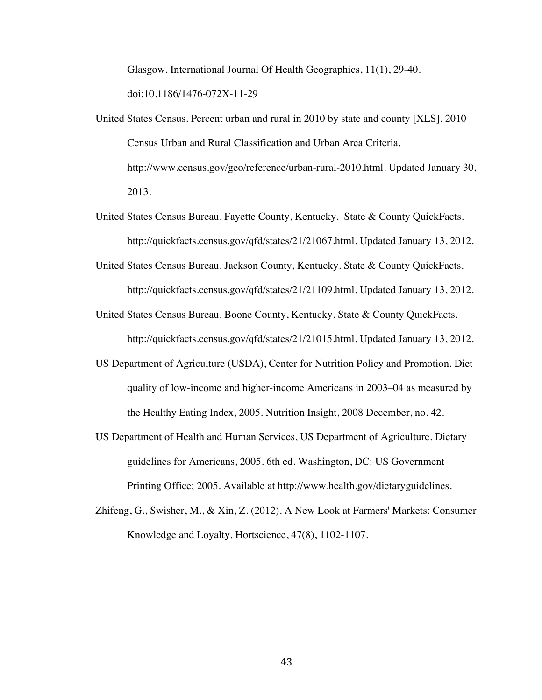Glasgow. International Journal Of Health Geographics, 11(1), 29-40. doi:10.1186/1476-072X-11-29

- United States Census. Percent urban and rural in 2010 by state and county [XLS]. 2010 Census Urban and Rural Classification and Urban Area Criteria. http://www.census.gov/geo/reference/urban-rural-2010.html. Updated January 30, 2013.
- United States Census Bureau. Fayette County, Kentucky. State & County QuickFacts. http://quickfacts.census.gov/qfd/states/21/21067.html. Updated January 13, 2012.
- United States Census Bureau. Jackson County, Kentucky. State & County QuickFacts. http://quickfacts.census.gov/qfd/states/21/21109.html. Updated January 13, 2012.
- United States Census Bureau. Boone County, Kentucky. State & County QuickFacts. http://quickfacts.census.gov/qfd/states/21/21015.html. Updated January 13, 2012.
- US Department of Agriculture (USDA), Center for Nutrition Policy and Promotion. Diet quality of low-income and higher-income Americans in 2003–04 as measured by the Healthy Eating Index, 2005. Nutrition Insight, 2008 December, no. 42.
- US Department of Health and Human Services, US Department of Agriculture. Dietary guidelines for Americans, 2005. 6th ed. Washington, DC: US Government Printing Office; 2005. Available at http://www.health.gov/dietaryguidelines.
- Zhifeng, G., Swisher, M., & Xin, Z. (2012). A New Look at Farmers' Markets: Consumer Knowledge and Loyalty. Hortscience, 47(8), 1102-1107.